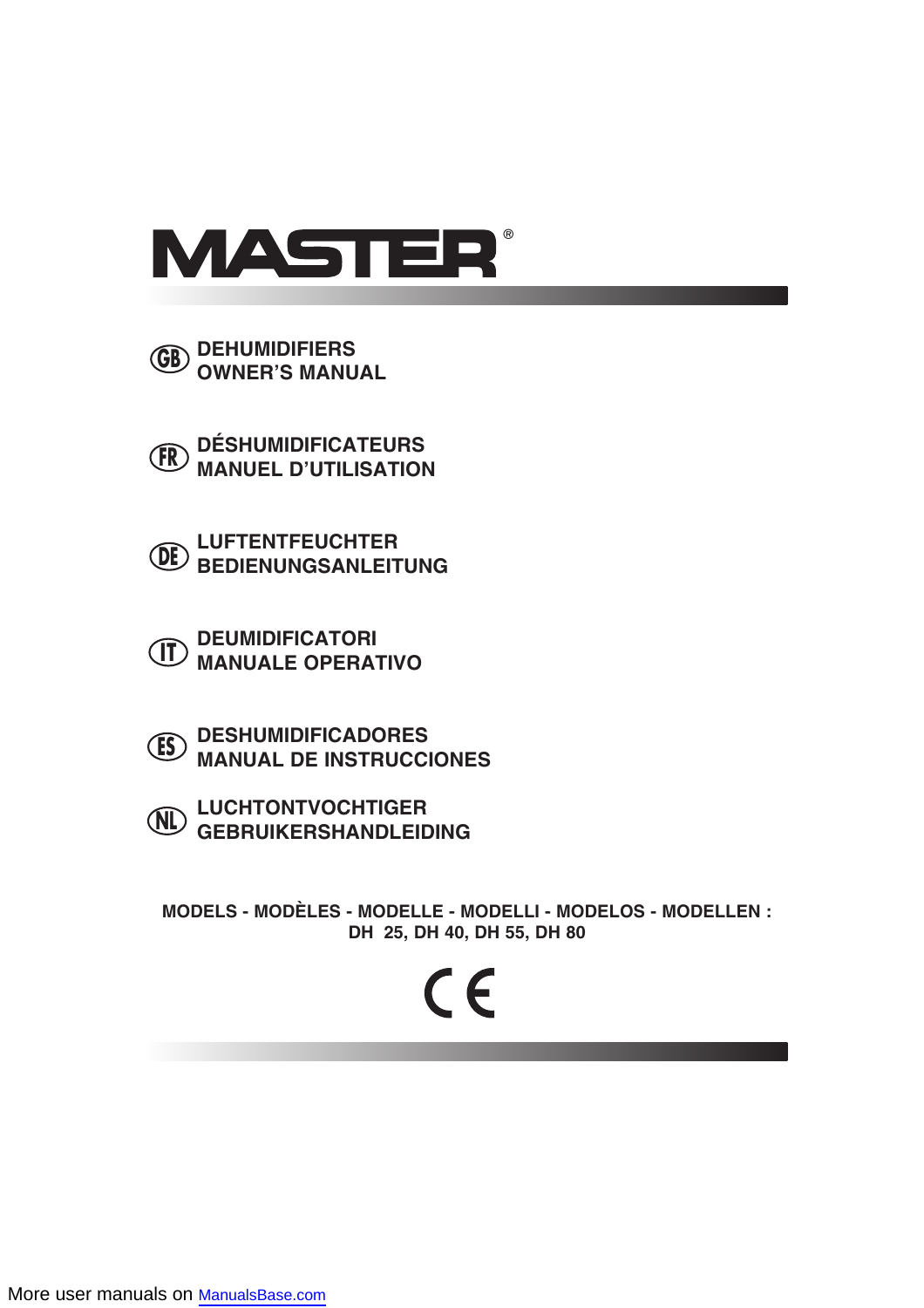

**DEHUMIDIFIERS OWNER'S MANUAL GB**

**DÉSHUMIDIFICATEURS MANUEL D'UTILISATION FR**

**LUFTENTFEUCHTER BEDIENUNGSANLEITUNG DE**

**DEUMIDIFICATORI II) MANUALE OPERATIVO** 

**DESHUMIDIFICADORES MANUAL DE INSTRUCCIONES ES**

**LUCHTONTVOCHTIGER GEBRUIKERSHANDLEIDING NL**

**MODELS - MODÈLES - MODELLE - MODELLI - MODELOS - MODELLEN : DH 25, DH 40, DH 55, DH 80**

# $\epsilon$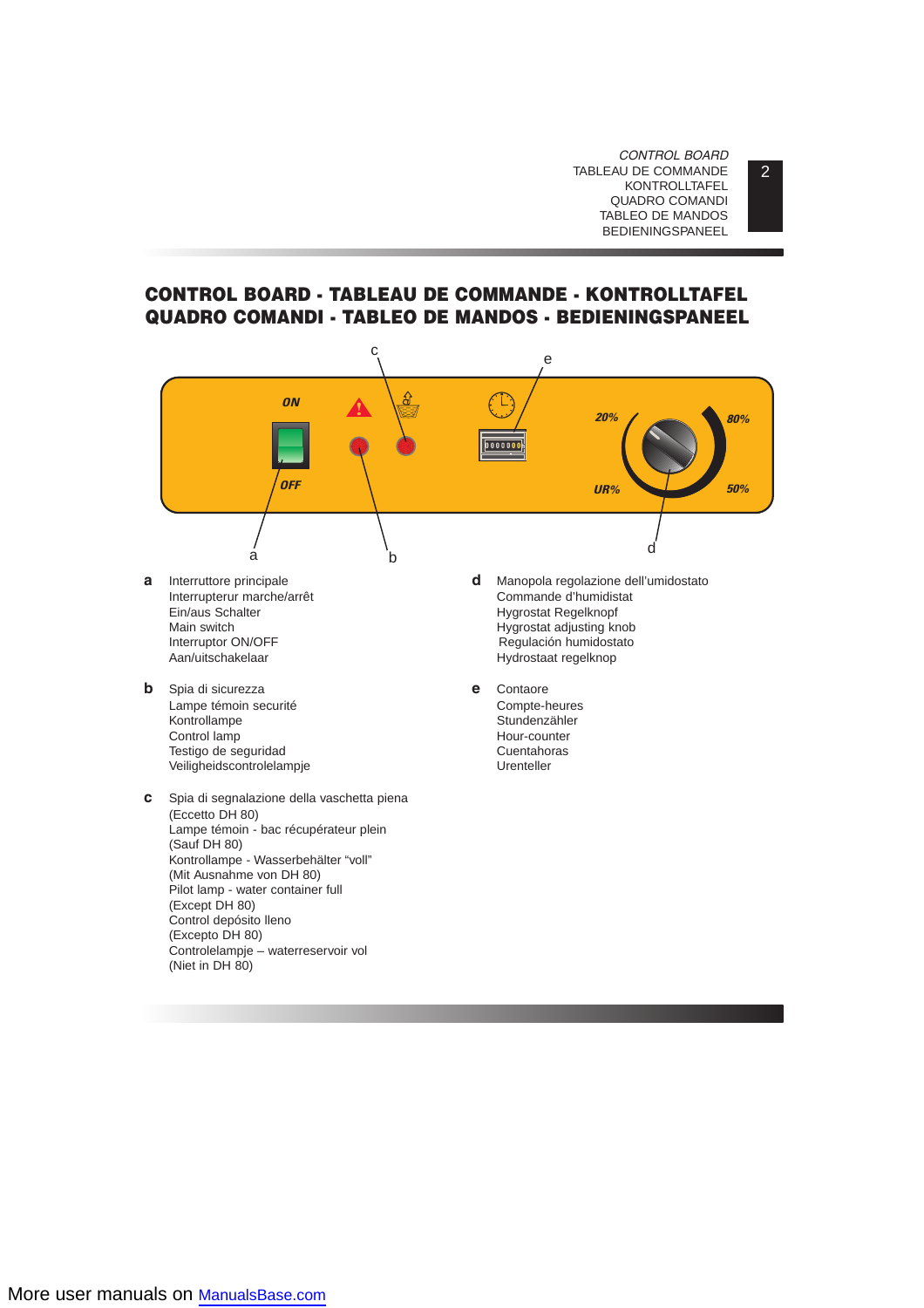*CONTROL BOARD* TABLEAU DE COMMANDE KONTROLLTAFEL QUADRO COMANDI TABLEO DE MANDOS BEDIENINGSPANEEL

# **CONTROL BOARD - TABLEAU DE COMMANDE - KONTROLLTAFEL QUADRO COMANDI - TABLEO DE MANDOS - BEDIENINGSPANEEL**



(Niet in DH 80)

 $\overline{2}$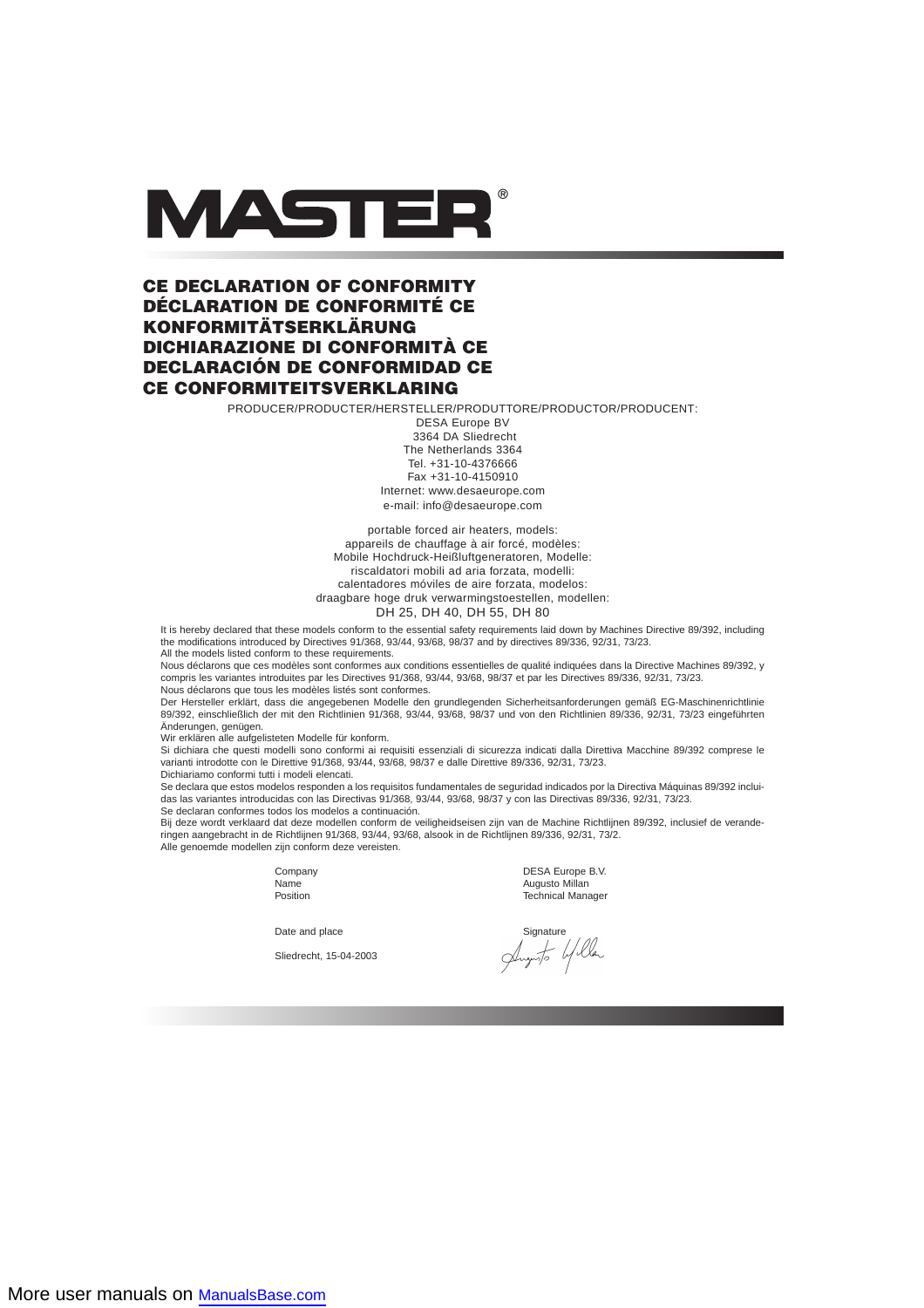

# **CE DECLARATION OF CONFORMITY DÉCLARATION DE CONFORMITÉ CE KONFORMITÄTSERKLÄRUNG DICHIARAZIONE DI CONFORMITÀ CE DECLARACIÓN DE CONFORMIDAD CE CE CONFORMITEITSVERKLARING**

PRODUCER/PRODUCTER/HERSTELLER/PRODUTTORE/PRODUCTOR/PRODUCENT:

DESA Europe BV 3364 DA Sliedrecht The Netherlands 3364 Tel. +31-10-4376666 Fax +31-10-4150910 Internet: www.desaeurope.com e-mail: info@desaeurope.com

portable forced air heaters, models: appareils de chauffage à air forcé, modèles: Mobile Hochdruck-Heißluftgeneratoren, Modelle: riscaldatori mobili ad aria forzata, modelli: calentadores móviles de aire forzata, modelos: draagbare hoge druk verwarmingstoestellen, modellen: DH 25, DH 40, DH 55, DH 80

It is hereby declared that these models conform to the essential safety requirements laid down by Machines Directive 89/392, including the modifications introduced by Directives 91/368, 93/44, 93/68, 98/37 and by directives 89/336, 92/31, 73/23.

All the models listed conform to these requirements.

Nous déclarons que ces modèles sont conformes aux conditions essentielles de qualité indiquées dans la Directive Machines 89/392, y compris les variantes introduites par les Directives 91/368, 93/44, 93/68, 98/37 et par les Directives 89/336, 92/31, 73/23. Nous déclarons que tous les modèles listés sont conformes.

Der Hersteller erklärt, dass die angegebenen Modelle den grundlegenden Sicherheitsanforderungen gemäß EG-Maschinenrichtlinie 89/392, einschließlich der mit den Richtlinien 91/368, 93/44, 93/68, 98/37 und von den Richtlinien 89/336, 92/31, 73/23 eingeführten Änderungen, genügen.

Wir erklären alle aufgelisteten Modelle für konform.

Si dichiara che questi modelli sono conformi ai requisiti essenziali di sicurezza indicati dalla Direttiva Macchine 89/392 comprese le varianti introdotte con le Direttive 91/368, 93/44, 93/68, 98/37 e dalle Direttive 89/336, 92/31, 73/23. Dichiariamo conformi tutti i modeli elencati.

Se declara que estos modelos responden a los requisitos fundamentales de seguridad indicados por la Directiva Máquinas 89/392 incluidas las variantes introducidas con las Directivas 91/368, 93/44, 93/68, 98/37 y con las Directivas 89/336, 92/31, 73/23.

Se declaran conformes todos los modelos a continuación.

Bij deze wordt verklaard dat deze modellen conform de veiligheidseisen zijn van de Machine Richtlijnen 89/392, inclusief de veranderingen aangebracht in de Richtlijnen 91/368, 93/44, 93/68, alsook in de Richtlijnen 89/336, 92/31, 73/2. Alle genoemde modellen zijn conform deze vereisten.

Company DESA Europe B.V. Name Augusto Millan<br>Position Contract Contract Contract Augusto Millan<br>Technical Mana **Technical Manager** 

Sliedrecht, 15-04-2003

Date and place Signature<br>Sliedrecht, 15-04-2003<br> $\frac{1}{\sqrt{2\pi}}\int_{\sqrt{2\pi}}$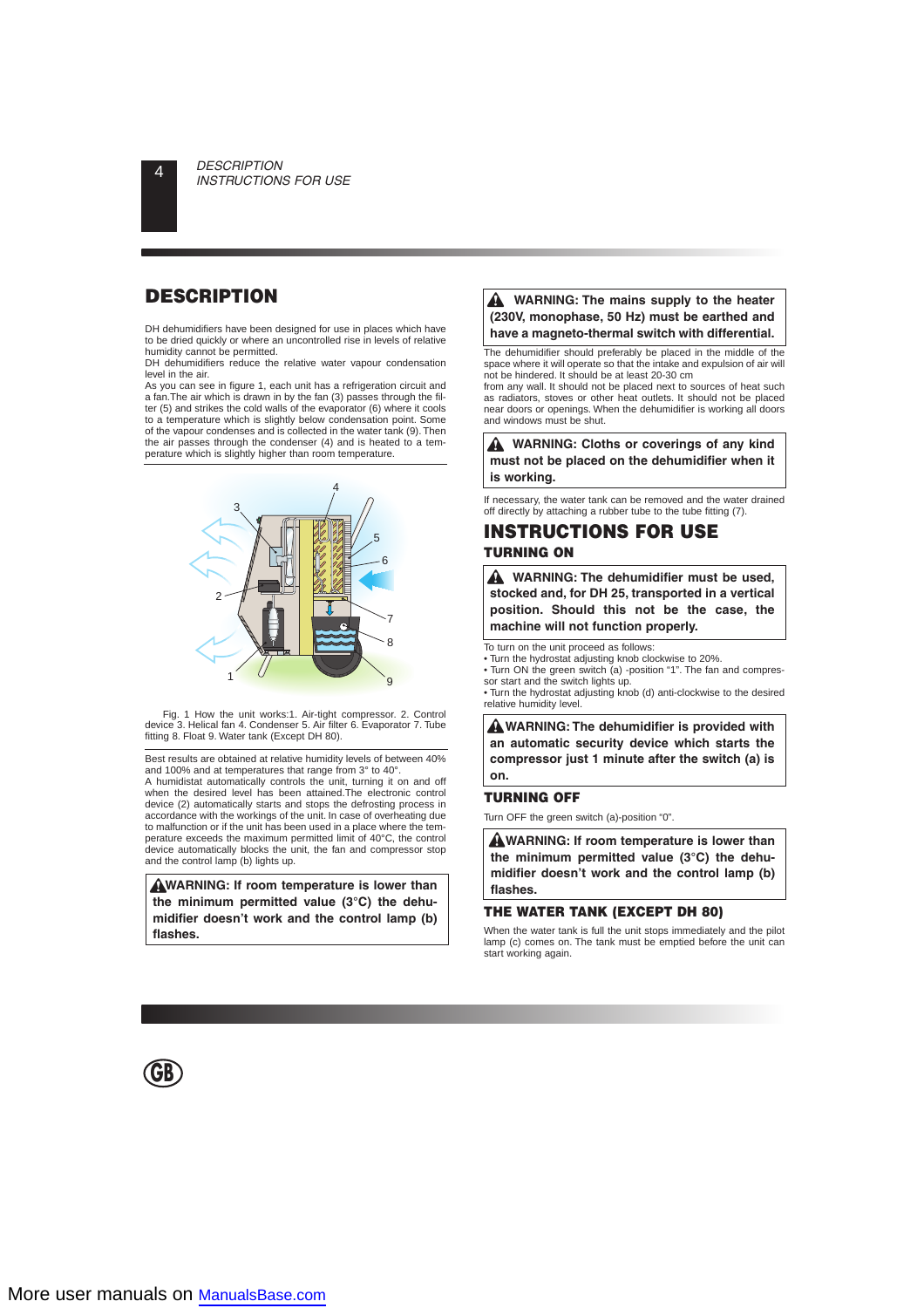# **DESCRIPTION**

DH dehumidifiers have been designed for use in places which have to be dried quickly or where an uncontrolled rise in levels of relative humidity cannot be permitted.

DH dehumidifiers reduce the relative water vapour condensation level in the air.

As you can see in figure 1, each unit has a refrigeration circuit and a fan.The air which is drawn in by the fan (3) passes through the filter (5) and strikes the cold walls of the evaporator (6) where it cools to a temperature which is slightly below condensation point. Some of the vapour condenses and is collected in the water tank (9). Then the air passes through the condenser  $(4)$  and is heated to a temperature which is slightly higher than room temperature.



Fig. 1 How the unit works:1. Air-tight compressor. 2. Control device 3. Helical fan 4. Condenser 5. Air filter 6. Evaporator 7. Tube fitting 8. Float 9. Water tank (Except DH 80).

Best results are obtained at relative humidity levels of between 40% and 100% and at temperatures that range from 3° to 40°.

A humidistat automatically controls the unit, turning it on and off when the desired level has been attained. The electronic control device (2) automatically starts and stops the defrosting process in accordance with the workings of the unit. In case of overheating due to malfunction or if the unit has been used in a place where the temperature exceeds the maximum permitted limit of 40°C, the control device automatically blocks the unit, the fan and compressor stop and the control lamp (b) lights up.

**WARNING: If room temperature is lower than the minimum permitted value (3°C) the dehumidifier doesn't work and the control lamp (b) flashes.**

#### A **WARNING: The mains supply to the heater (230V, monophase, 50 Hz) must be earthed and have a magneto-thermal switch with differential.**

The dehumidifier should preferably be placed in the middle of the space where it will operate so that the intake and expulsion of air will not be hindered. It should be at least 20-30 cm

from any wall. It should not be placed next to sources of heat such as radiators, stoves or other heat outlets. It should not be placed near doors or openings. When the dehumidifier is working all doors and windows must be shut.

**A** WARNING: Cloths or coverings of any kind **must not be placed on the dehumidifier when it is working.**

If necessary, the water tank can be removed and the water drained off directly by attaching a rubber tube to the tube fitting (7).

# **INSTRUCTIONS FOR USE TURNING ON**

**WARNING: The dehumidifier must be used, stocked and, for DH 25, transported in a vertical position. Should this not be the case, the machine will not function properly.**

To turn on the unit proceed as follows:

• Turn the hydrostat adjusting knob clockwise to 20%.

• Turn ON the green switch (a) -position "1". The fan and compressor start and the switch lights up.

• Turn the hydrostat adjusting knob (d) anti-clockwise to the desired relative humidity level.

**WARNING: The dehumidifier is provided with an automatic security device which starts the compressor just 1 minute after the switch (a) is on.**

#### **TURNING OFF**

Turn OFF the green switch (a)-position "0".

**WARNING: If room temperature is lower than the minimum permitted value (3°C) the dehumidifier doesn't work and the control lamp (b) flashes.**

#### **THE WATER TANK (EXCEPT DH 80)**

When the water tank is full the unit stops immediately and the pilot lamp (c) comes on. The tank must be emptied before the unit can start working again.

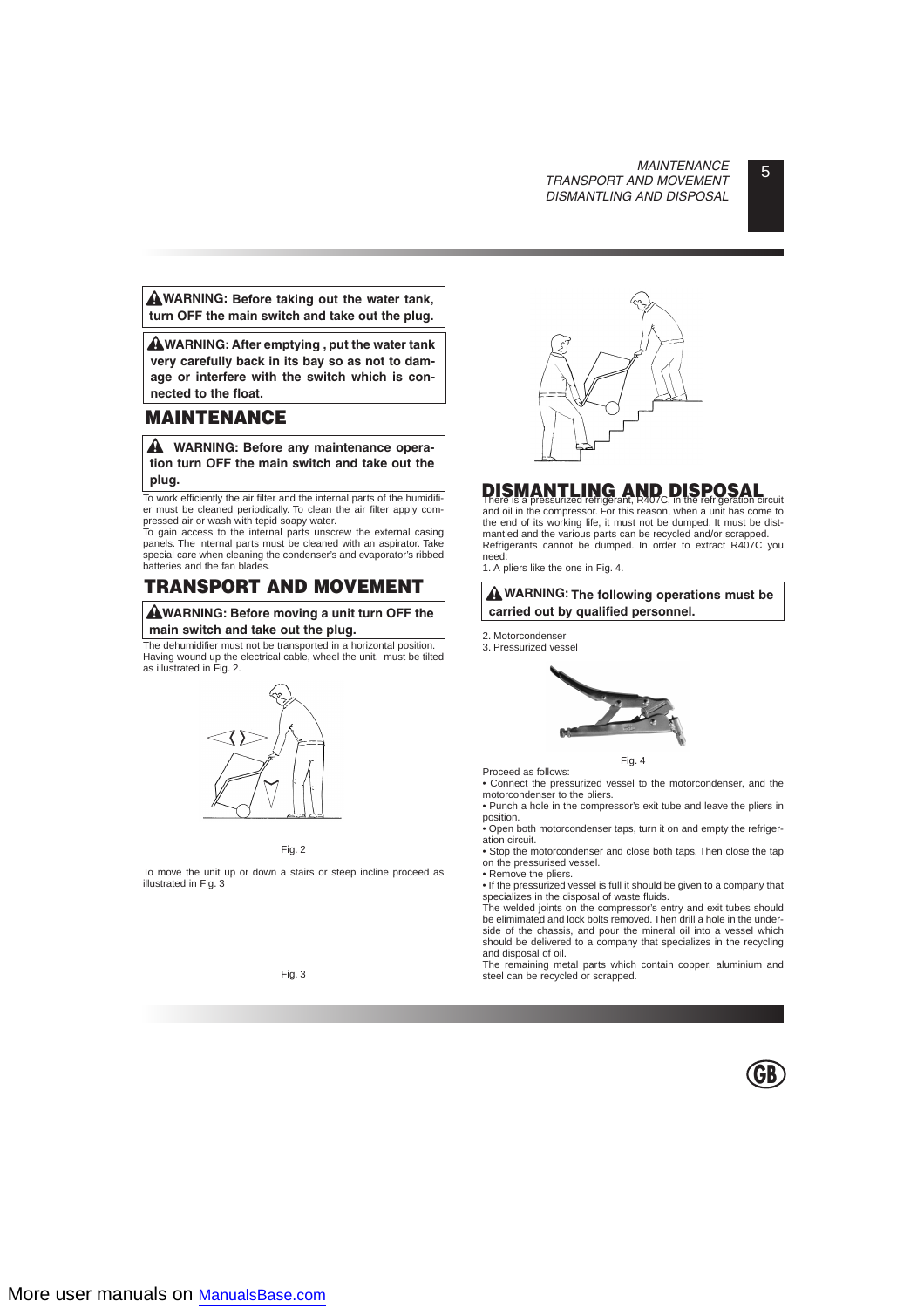**WARNING: Before taking out the water tank, turn OFF the main switch and take out the plug.**

**WARNING: After emptying , put the water tank very carefully back in its bay so as not to damage or interfere with the switch which is connected to the float.**

# **MAINTENANCE**

**WARNING: Before any maintenance operation turn OFF the main switch and take out the plug.**

To work efficiently the air filter and the internal parts of the humidifier must be cleaned periodically. To clean the air filter apply com-

pressed air or wash with tepid soapy water. To gain access to the internal parts unscrew the external casing panels. The internal parts must be cleaned with an aspirator. Take special care when cleaning the condenser's and evaporator's ribbed batteries and the fan blades.

# **TRANSPORT AND MOVEMENT**

**WARNING: Before moving a unit turn OFF the main switch and take out the plug.**

The dehumidifier must not be transported in a horizontal position. Having wound up the electrical cable, wheel the unit. must be tilted as illustrated in Fig. 2.



Fig. 2

To move the unit up or down a stairs or steep incline proceed as illustrated in Fig. 3



# There is a pressurized refrigerant, R407C, in the refrigeration circuit **DISMANTLING AND DISPOSAL**

and oil in the compressor. For this reason, when a unit has come to the end of its working life, it must not be dumped. It must be distmantled and the various parts can be recycled and/or scrapped. Refrigerants cannot be dumped. In order to extract R407C you need:

1. A pliers like the one in Fig. 4.

#### **WARNING: The following operations must be carried out by qualified personnel.**

- 2. Motorcondenser
- 3. Pressurized vessel



Fig. 4

Proceed as follows: • Connect the pressurized vessel to the motorcondenser, and the motorcondenser to the pliers.

• Punch a hole in the compressor's exit tube and leave the pliers in position.

• Open both motorcondenser taps, turn it on and empty the refrigeration circuit.

• Stop the motorcondenser and close both taps. Then close the tap on the pressurised vessel.

• Remove the pliers.

• If the pressurized vessel is full it should be given to a company that specializes in the disposal of waste fluids.

The welded joints on the compressor's entry and exit tubes should be elimimated and lock bolts removed. Then drill a hole in the underside of the chassis, and pour the mineral oil into a vessel which should be delivered to a company that specializes in the recycling and disposal of oil.

The remaining metal parts which contain copper, aluminium and steel can be recycled or scrapped.

Fig. 3

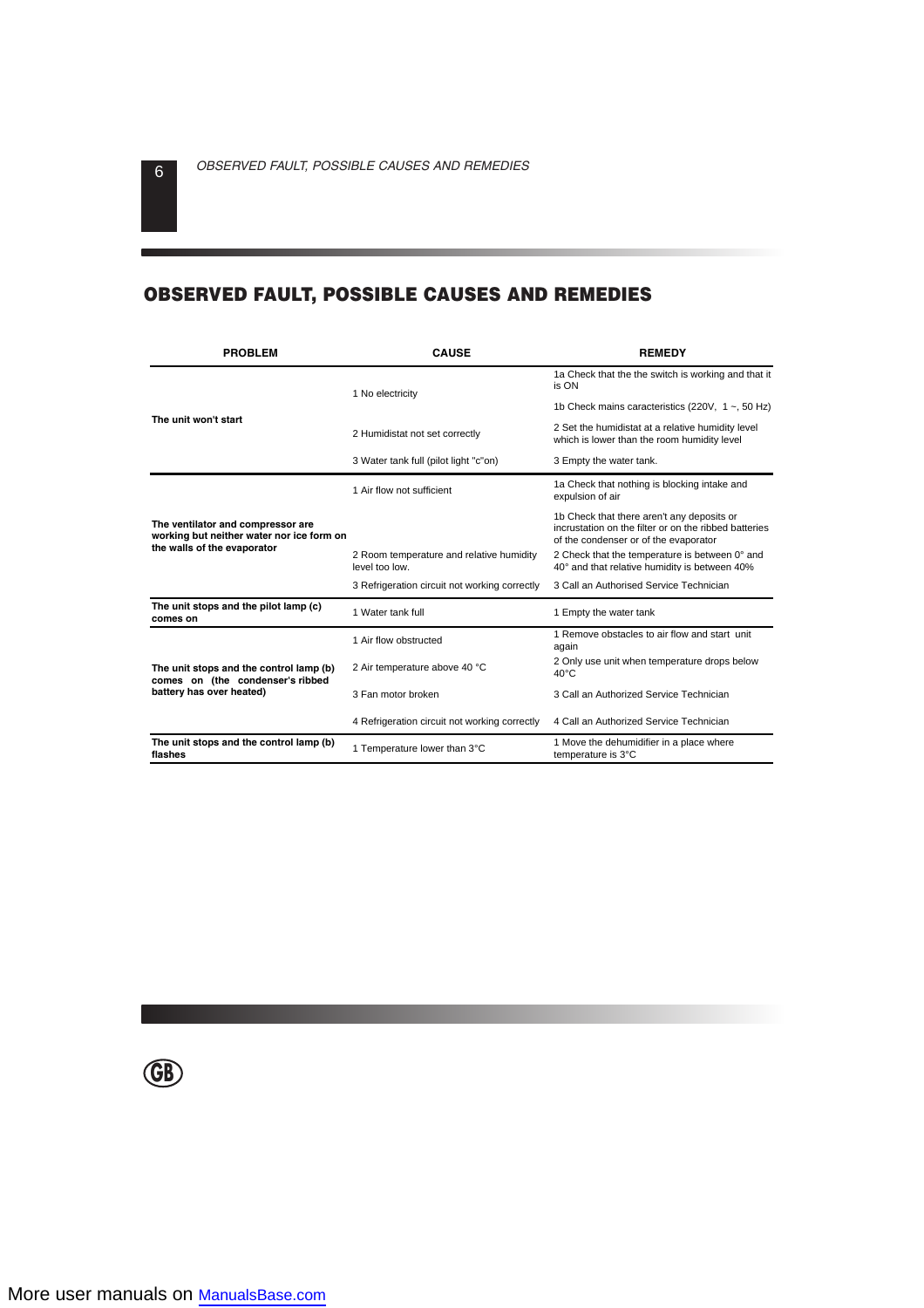# **OBSERVED FAULT, POSSIBLE CAUSES AND REMEDIES**

| <b>PROBLEM</b><br><b>CAUSE</b>                                                                                |                                                            | <b>REMEDY</b>                                                                                                                                |  |  |
|---------------------------------------------------------------------------------------------------------------|------------------------------------------------------------|----------------------------------------------------------------------------------------------------------------------------------------------|--|--|
|                                                                                                               | 1 No electricity                                           | 1a Check that the the switch is working and that it<br>is ON                                                                                 |  |  |
| The unit won't start                                                                                          |                                                            | 1b Check mains caracteristics (220V, $1 \sim$ , 50 Hz)                                                                                       |  |  |
|                                                                                                               | 2 Humidistat not set correctly                             | 2 Set the humidistat at a relative humidity level<br>which is lower than the room humidity level                                             |  |  |
|                                                                                                               | 3 Water tank full (pilot light "c"on)                      | 3 Empty the water tank.                                                                                                                      |  |  |
|                                                                                                               | 1 Air flow not sufficient                                  | 1a Check that nothing is blocking intake and<br>expulsion of air                                                                             |  |  |
| The ventilator and compressor are<br>working but neither water nor ice form on<br>the walls of the evaporator |                                                            | 1b Check that there aren't any deposits or<br>incrustation on the filter or on the ribbed batteries<br>of the condenser or of the evaporator |  |  |
|                                                                                                               | 2 Room temperature and relative humidity<br>level too low. | 2 Check that the temperature is between 0° and<br>40° and that relative humidity is between 40%                                              |  |  |
|                                                                                                               | 3 Refrigeration circuit not working correctly              | 3 Call an Authorised Service Technician                                                                                                      |  |  |
| The unit stops and the pilot lamp (c)<br>comes on                                                             | 1 Water tank full                                          | 1 Empty the water tank                                                                                                                       |  |  |
|                                                                                                               | 1 Air flow obstructed                                      | 1 Remove obstacles to air flow and start unit<br>again                                                                                       |  |  |
| The unit stops and the control lamp (b)<br>comes on (the condenser's ribbed<br>battery has over heated)       | 2 Air temperature above 40 °C                              | 2 Only use unit when temperature drops below<br>$40^{\circ}$ C                                                                               |  |  |
|                                                                                                               | 3 Fan motor broken                                         | 3 Call an Authorized Service Technician                                                                                                      |  |  |
|                                                                                                               | 4 Refrigeration circuit not working correctly              | 4 Call an Authorized Service Technician                                                                                                      |  |  |
| The unit stops and the control lamp (b)<br>flashes                                                            | 1 Temperature lower than 3°C                               | 1 Move the dehumidifier in a place where<br>temperature is 3°C                                                                               |  |  |

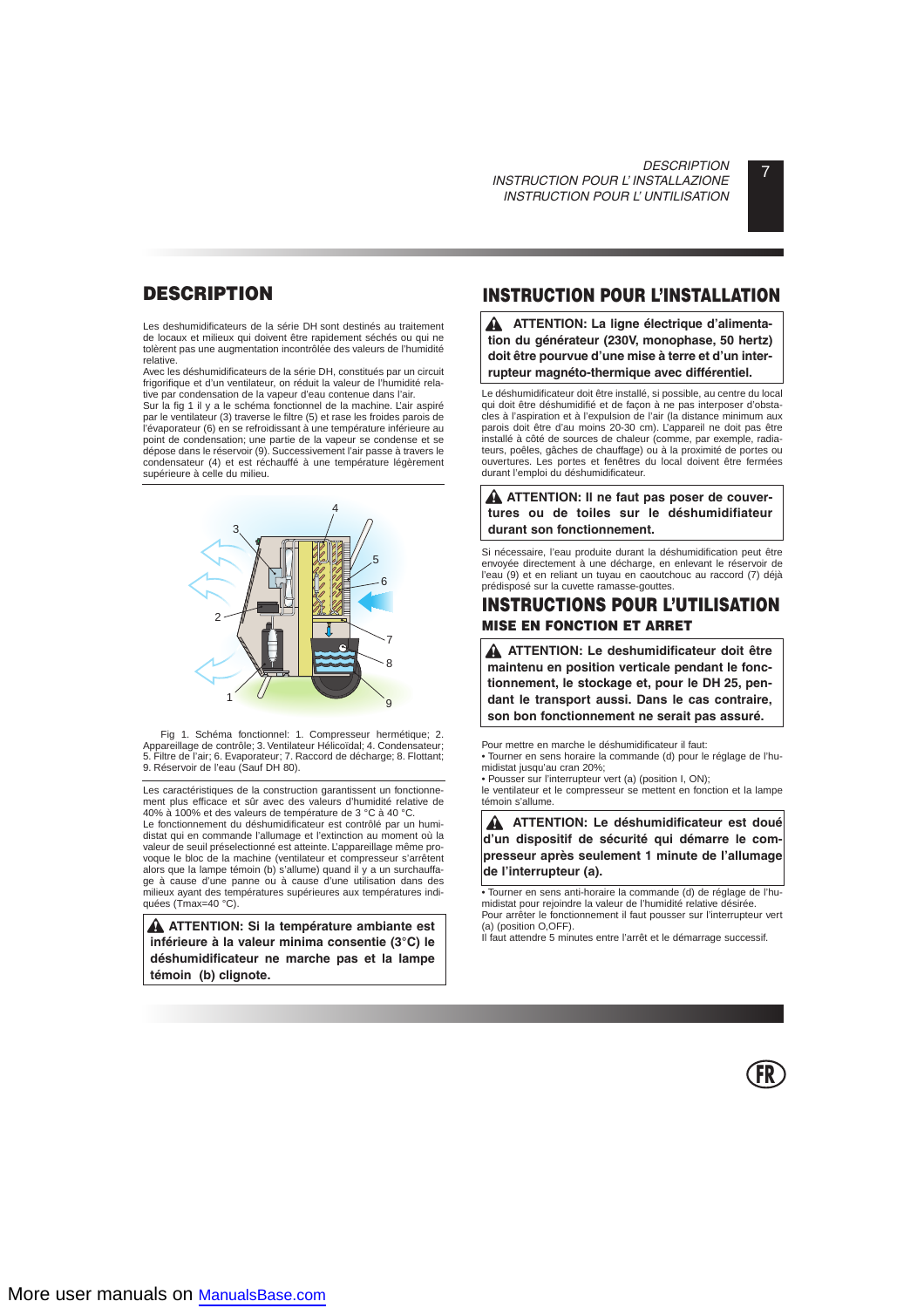# **DESCRIPTION**

Les deshumidificateurs de la série DH sont destinés au traitement de locaux et milieux qui doivent être rapidement séchés ou qui ne tolèrent pas une augmentation incontrôlée des valeurs de l'humidité relative.

Avec les déshumidificateurs de la série DH, constitués par un circuit frigorifique et d'un ventilateur, on réduit la valeur de l'humidité relative par condensation de la vapeur d'eau contenue dans l'air.

Sur la fig 1 il y a le schéma fonctionnel de la machine. L'air aspiré par le ventilateur (3) traverse le filtre (5) et rase les froides parois de l'évaporateur (6) en se refroidissant à une température inférieure au point de condensation; une partie de la vapeur se condense et se dépose dans le réservoir (9). Successivement l'air passe à travers le condensateur (4) et est réchauffé à une température légèrement supérieure à celle du milieu.



Fig 1. Schéma fonctionnel: 1. Compresseur hermétique; 2. Appareillage de contrôle; 3. Ventilateur Hélicoïdal; 4. Condensateur; 5. Filtre de l'air; 6. Evaporateur; 7. Raccord de décharge; 8. Flottant; 9. Réservoir de l'eau (Sauf DH 80).

Les caractéristiques de la construction garantissent un fonctionnement plus efficace et sûr avec des valeurs d'humidité relative de 40% à 100% et des valeurs de température de 3 °C à 40 °C.

Le fonctionnement du déshumidificateur est contrôlé par un humidistat qui en commande l'allumage et l'extinction au moment où la valeur de seuil préselectionné est atteinte. L'appareillage même provoque le bloc de la machine (ventilateur et compresseur s'arrêtent alors que la lampe témoin (b) s'allume) quand il y a un surchauffage à cause d'une panne ou à cause d'une utilisation dans des milieux ayant des températures supérieures aux températures indiquées (Tmax=40 °C).

**ATTENTION: Si la température ambiante est inférieure à la valeur minima consentie (3°C) le déshumidificateur ne marche pas et la lampe témoin (b) clignote.**

# **INSTRUCTION POUR L'INSTALLATION**

**A** ATTENTION: La ligne électrique d'alimenta**tion du générateur (230V, monophase, 50 hertz) doit être pourvue d'une mise à terre et d'un interrupteur magnéto-thermique avec différentiel.**

Le déshumidificateur doit être installé, si possible, au centre du local qui doit être déshumidifié et de façon à ne pas interposer d'obstacles à l'aspiration et à l'expulsion de l'air (la distance minimum aux parois doit être d'au moins 20-30 cm). L'appareil ne doit pas être installé à côté de sources de chaleur (comme, par exemple, radiateurs, poêles, gâches de chauffage) ou à la proximité de portes ou ouvertures. Les portes et fenêtres du local doivent être fermées durant l'emploi du déshumidificateur.

**A** ATTENTION: II ne faut pas poser de couver**tures ou de toiles sur le déshumidifiateur durant son fonctionnement.**

Si nécessaire, l'eau produite durant la déshumidification peut être envoyée directement à une décharge, en enlevant le réservoir de l'eau (9) et en reliant un tuyau en caoutchouc au raccord (7) déjà prédisposé sur la cuvette ramasse-gouttes.

## **INSTRUCTIONS POUR L'UTILISATION MISE EN FONCTION ET ARRET**

**ATTENTION: Le deshumidificateur doit être maintenu en position verticale pendant le fonctionnement, le stockage et, pour le DH 25, pendant le transport aussi. Dans le cas contraire, son bon fonctionnement ne serait pas assuré.**

Pour mettre en marche le déshumidificateur il faut:

• Tourner en sens horaire la commande (d) pour le réglage de l'humidistat jusqu'au cran 20%;

• Pousser sur l'interrupteur vert (a) (position I, ON);

le ventilateur et le compresseur se mettent en fonction et la lampe témoin s'allume.

**ATTENTION: Le déshumidificateur est doué d'un dispositif de sécurité qui démarre le compresseur après seulement 1 minute de l'allumage de l'interrupteur (a).**

• Tourner en sens anti-horaire la commande (d) de réglage de l'humidistat pour rejoindre la valeur de l'humidité relative désirée. Pour arrêter le fonctionnement il faut pousser sur l'interrupteur vert

(a) (position O,OFF). Il faut attendre 5 minutes entre l'arrêt et le démarrage successif.

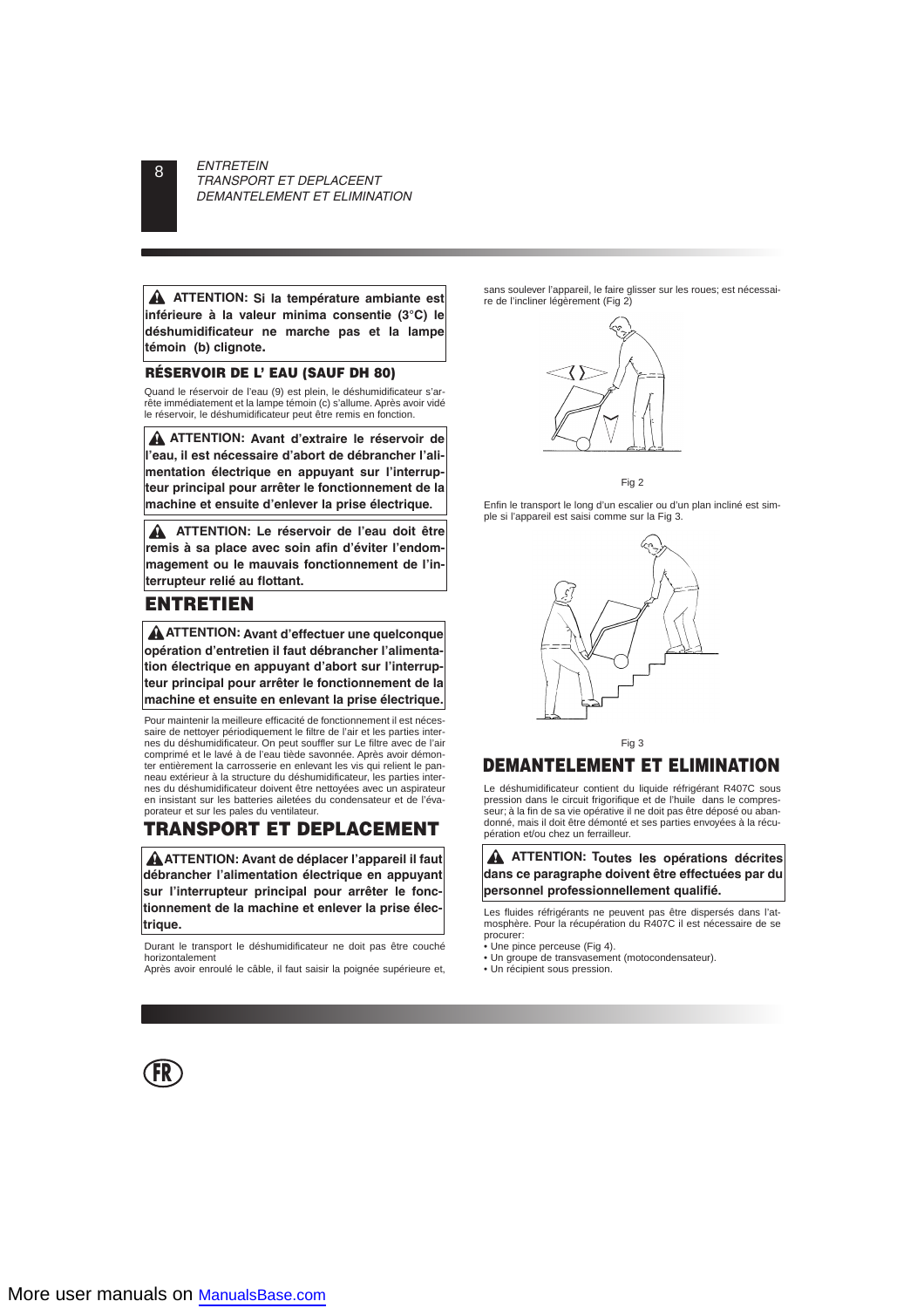**ATTENTION: Si la température ambiante est inférieure à la valeur minima consentie (3°C) le déshumidificateur ne marche pas et la lampe témoin (b) clignote.**

#### **RÉSERVOIR DE L' EAU (SAUF DH 80)**

Quand le réservoir de l'eau (9) est plein, le déshumidificateur s'arrête immédiatement et la lampe témoin (c) s'allume. Après avoir vidé le réservoir, le déshumidificateur peut être remis en fonction.

**ATTENTION: Avant d'extraire le réservoir de l'eau, il est nécessaire d'abort de débrancher l'alimentation électrique en appuyant sur l'interrupteur principal pour arrêter le fonctionnement de la machine et ensuite d'enlever la prise électrique.**

**ATTENTION: Le réservoir de l'eau doit être remis à sa place avec soin afin d'éviter l'endommagement ou le mauvais fonctionnement de l'interrupteur relié au flottant.**

# **ENTRETIEN**

**ATTENTION: Avant d'effectuer une quelconque opération d'entretien il faut débrancher l'alimentation électrique en appuyant d'abort sur l'interrupteur principal pour arrêter le fonctionnement de la machine et ensuite en enlevant la prise électrique.**

Pour maintenir la meilleure efficacité de fonctionnement il est nécessaire de nettoyer périodiquement le filtre de l'air et les parties internes du déshumidificateur. On peut souffler sur Le filtre avec de l'air comprimé et le lavé à de l'eau tiède savonnée. Après avoir démonter entièrement la carrosserie en enlevant les vis qui relient le panneau extérieur à la structure du déshumidificateur, les parties internes du déshumidificateur doivent être nettoyées avec un aspirateur en insistant sur les batteries ailetées du condensateur et de l'évaporateur et sur les pales du ventilateur.

# **TRANSPORT ET DEPLACEMENT**

**ATTENTION: Avant de déplacer l'appareil il faut débrancher l'alimentation électrique en appuyant sur l'interrupteur principal pour arrêter le fonctionnement de la machine et enlever la prise électrique.**

Durant le transport le déshumidificateur ne doit pas être couché horizontalement

Après avoir enroulé le câble, il faut saisir la poignée supérieure et,

sans soulever l'appareil, le faire glisser sur les roues; est nécessaire de l'incliner légèrement (Fig 2)



Fig 2

Enfin le transport le long d'un escalier ou d'un plan incliné est simple si l'appareil est saisi comme sur la Fig 3.



Fig 3

# **DEMANTELEMENT ET ELIMINATION**

Le déshumidificateur contient du liquide réfrigérant R407C sous pression dans le circuit frigorifique et de l'huile dans le compresseur; à la fin de sa vie opérative il ne doit pas être déposé ou abandonné, mais il doit être démonté et ses parties envoyées à la récupération et/ou chez un ferrailleur.

#### **ATTENTION: Toutes les opérations décrites dans ce paragraphe doivent être effectuées par du personnel professionnellement qualifié.**

Les fluides réfrigérants ne peuvent pas être dispersés dans l'atmosphère. Pour la récupération du R407C il est nécessaire de se procurer:

- Une pince perceuse (Fig 4).
- Un groupe de transvasement (motocondensateur).
- Un récipient sous pression.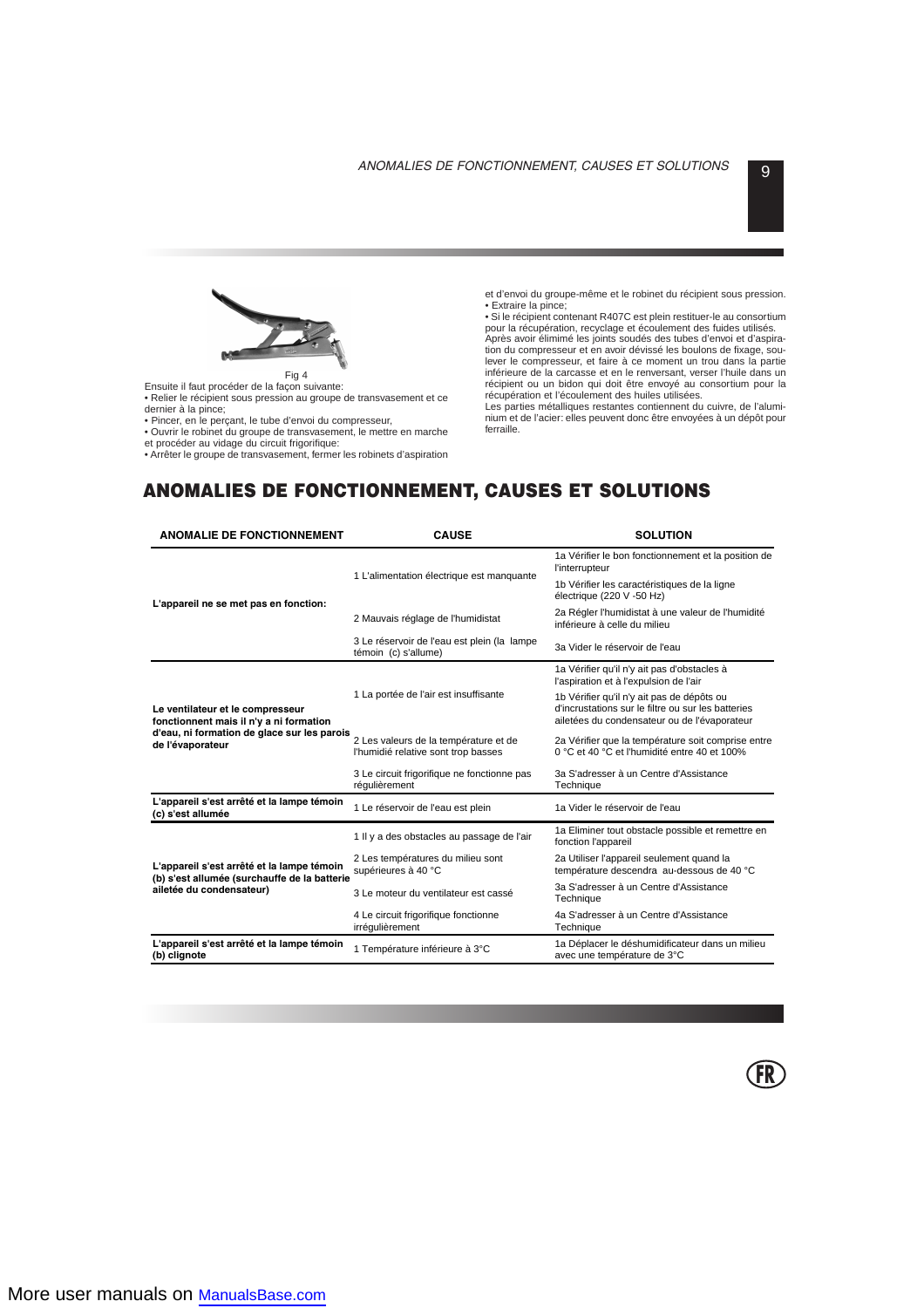

Ensuite il faut procéder de la façon suivante:

• Relier le récipient sous pression au groupe de transvasement et ce dernier à la pince;

• Pincer, en le perçant, le tube d'envoi du compresseur,

• Ouvrir le robinet du groupe de transvasement, le mettre en marche et procéder au vidage du circuit frigorifique:

• Arrêter le groupe de transvasement, fermer les robinets d'aspiration

et d'envoi du groupe-même et le robinet du récipient sous pression. • Extraire la pince;

• Si le récipient contenant R407C est plein restituer-le au consortium pour la récupération, recyclage et écoulement des fuides utilisés.

Après avoir élimimé les joints soudés des tubes d'envoi et d'aspiration du compresseur et en avoir dévissé les boulons de fixage, soulever le compresseur, et faire à ce moment un trou dans la partie inférieure de la carcasse et en le renversant, verser l'huile dans un récipient ou un bidon qui doit être envoyé au consortium pour la récupération et l'écoulement des huiles utilisées.

Les parties métalliques restantes contiennent du cuivre, de l'aluminium et de l'acier: elles peuvent donc être envoyées à un dépôt pour ferraille.

# **ANOMALIES DE FONCTIONNEMENT, CAUSES ET SOLUTIONS**

| <b>ANOMALIE DE FONCTIONNEMENT</b><br><b>CAUSE</b>                                                                                              |                                                                              | <b>SOLUTION</b>                                                                                                                                  |  |  |
|------------------------------------------------------------------------------------------------------------------------------------------------|------------------------------------------------------------------------------|--------------------------------------------------------------------------------------------------------------------------------------------------|--|--|
|                                                                                                                                                | 1 L'alimentation électrique est manquante                                    | 1a Vérifier le bon fonctionnement et la position de<br>l'interrupteur                                                                            |  |  |
| L'appareil ne se met pas en fonction:                                                                                                          |                                                                              | 1b Vérifier les caractéristiques de la ligne<br>électrique (220 V -50 Hz)                                                                        |  |  |
|                                                                                                                                                | 2 Mauvais réglage de l'humidistat                                            | 2a Régler l'humidistat à une valeur de l'humidité<br>inférieure à celle du milieu                                                                |  |  |
|                                                                                                                                                | 3 Le réservoir de l'eau est plein (la lampe<br>témoin (c) s'allume)          | 3a Vider le réservoir de l'eau                                                                                                                   |  |  |
|                                                                                                                                                |                                                                              | 1a Vérifier qu'il n'y ait pas d'obstacles à<br>l'aspiration et à l'expulsion de l'air                                                            |  |  |
| Le ventilateur et le compresseur<br>fonctionnent mais il n'y a ni formation<br>d'eau, ni formation de glace sur les parois<br>de l'évaporateur | 1 La portée de l'air est insuffisante                                        | 1b Vérifier qu'il n'y ait pas de dépôts ou<br>d'incrustations sur le filtre ou sur les batteries<br>ailetées du condensateur ou de l'évaporateur |  |  |
|                                                                                                                                                | 2 Les valeurs de la température et de<br>l'humidié relative sont trop basses | 2a Vérifier que la température soit comprise entre<br>0 °C et 40 °C et l'humidité entre 40 et 100%                                               |  |  |
|                                                                                                                                                | 3 Le circuit frigorifique ne fonctionne pas<br>réqulièrement                 | 3a S'adresser à un Centre d'Assistance<br>Technique                                                                                              |  |  |
| L'appareil s'est arrêté et la lampe témoin<br>(c) s'est allumée                                                                                | 1 Le réservoir de l'eau est plein                                            | 1a Vider le réservoir de l'eau                                                                                                                   |  |  |
|                                                                                                                                                | 1 Il y a des obstacles au passage de l'air                                   | 1a Eliminer tout obstacle possible et remettre en<br>fonction l'appareil                                                                         |  |  |
| L'appareil s'est arrêté et la lampe témoin<br>(b) s'est allumée (surchauffe de la batterie<br>ailetée du condensateur)                         | 2 Les températures du milieu sont<br>supérieures à 40 °C                     | 2a Utiliser l'appareil seulement quand la<br>température descendra au-dessous de 40 °C                                                           |  |  |
|                                                                                                                                                | 3 Le moteur du ventilateur est cassé                                         | 3a S'adresser à un Centre d'Assistance<br>Technique                                                                                              |  |  |
|                                                                                                                                                | 4 Le circuit frigorifique fonctionne<br>irréqulièrement                      | 4a S'adresser à un Centre d'Assistance<br>Technique                                                                                              |  |  |
| L'appareil s'est arrêté et la lampe témoin<br>(b) clignote                                                                                     | 1 Température inférieure à 3°C                                               | 1a Déplacer le déshumidificateur dans un milieu<br>avec une température de 3°C                                                                   |  |  |

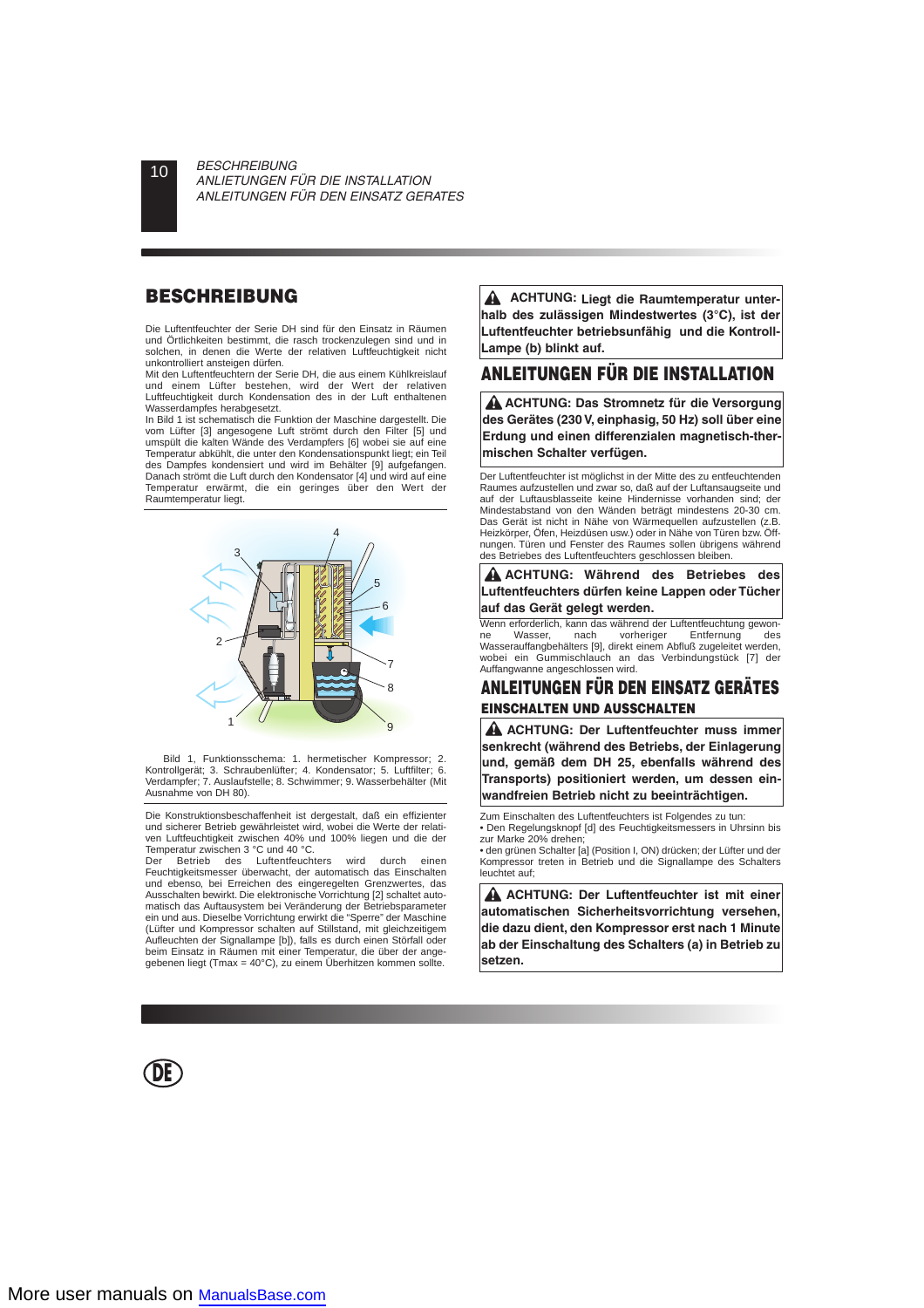# **BESCHREIBUNG**

Die Luftentfeuchter der Serie DH sind für den Einsatz in Räumen und Örtlichkeiten bestimmt, die rasch trockenzulegen sind und in solchen, in denen die Werte der relativen Luftfeuchtigkeit nicht unkontrolliert ansteigen dürfen.

Mit den Luftentfeuchtern der Serie DH, die aus einem Kühlkreislauf und einem Lüfter bestehen, wird der Wert der relativen Luftfeuchtigkeit durch Kondensation des in der Luft enthaltenen Wasserdampfes herabgesetzt.

In Bild 1 ist schematisch die Funktion der Maschine dargestellt. Die vom Lüfter [3] angesogene Luft strömt durch den Filter [5] und umspült die kalten Wände des Verdampfers [6] wobei sie auf eine Temperatur abkühlt, die unter den Kondensationspunkt liegt; ein Teil des Dampfes kondensiert und wird im Behälter [9] aufgefangen. Danach strömt die Luft durch den Kondensator [4] und wird auf eine Temperatur erwärmt, die ein geringes über den Wert der Raumtemperatur liegt.



Bild 1, Funktionsschema: 1. hermetischer Kompressor; 2. Kontrollgerät; 3. Schraubenlüfter; 4. Kondensator; 5. Luftfilter; 6. Verdampfer; 7. Auslaufstelle; 8. Schwimmer; 9. Wasserbehälter (Mit Ausnahme von DH 80).

Die Konstruktionsbeschaffenheit ist dergestalt, daß ein effizienter und sicherer Betrieb gewährleistet wird, wobei die Werte der relativen Luftfeuchtigkeit zwischen 40% und 100% liegen und die der Temperatur zwischen 3 °C und 40 °C.<br>Der Betrieb des Luftentfeuch

Luftentfeuchters wird durch einen Feuchtigkeitsmesser überwacht, der automatisch das Einschalten und ebenso, bei Erreichen des eingeregelten Grenzwertes, das Ausschalten bewirkt. Die elektronische Vorrichtung [2] schaltet automatisch das Auftausystem bei Veränderung der Betriebsparameter ein und aus. Dieselbe Vorrichtung erwirkt die "Sperre" der Maschine (Lüfter und Kompressor schalten auf Stillstand, mit gleichzeitigem Aufleuchten der Signallampe [b]), falls es durch einen Störfall oder beim Einsatz in Räumen mit einer Temperatur, die über der angegebenen liegt (Tmax = 40°C), zu einem Überhitzen kommen sollte.

**DE**

**ACHTUNG: Liegt die Raumtemperatur unterhalb des zulässigen Mindestwertes (3°C), ist der Luftentfeuchter betriebsunfähig und die Kontroll-Lampe (b) blinkt auf.**

# **ANLEITUNGEN FÜR DIE INSTALLATION**

**ACHTUNG: Das Stromnetz für die Versorgung des Gerätes (230 V, einphasig, 50 Hz) soll über eine Erdung und einen differenzialen magnetisch-thermischen Schalter verfügen.**

Der Luftentfeuchter ist möglichst in der Mitte des zu entfeuchtenden Raumes aufzustellen und zwar so, daß auf der Luftansaugseite und auf der Luftausblasseite keine Hindernisse vorhanden sind; der Mindestabstand von den Wänden beträgt mindestens 20-30 cm. Das Gerät ist nicht in Nähe von Wärmequellen aufzustellen (z.B. Heizkörper, Öfen, Heizdüsen usw.) oder in Nähe von Türen bzw. Öffnungen. Türen und Fenster des Raumes sollen übrigens während des Betriebes des Luftentfeuchters geschlossen bleiben.

**ACHTUNG: Während des Betriebes des Luftentfeuchters dürfen keine Lappen oder Tücher auf das Gerät gelegt werden.**

Umen erforderlich, kann das während der Luftentfeuchtung gewon-<br>Ine Wasser, mach vorheriger Entfernung des ne Wasser, nach vorheriger Entfernung des Wasserauffangbehälters [9], direkt einem Abfluß zugeleitet werden, wobei ein Gummischlauch an das Verbindungstück [7] der Auffangwanne angeschlossen wird.

# **ANLEITUNGEN FÜR DEN EINSATZ GERÄTES EINSCHALTEN UND AUSSCHALTEN**

**ACHTUNG: Der Luftentfeuchter muss immer senkrecht (während des Betriebs, der Einlagerung und, gemäß dem DH 25, ebenfalls während des Transports) positioniert werden, um dessen einwandfreien Betrieb nicht zu beeinträchtigen.**

Zum Einschalten des Luftentfeuchters ist Folgendes zu tun:

• Den Regelungsknopf [d] des Feuchtigkeitsmessers in Uhrsinn bis zur Marke 20% drehen;

• den grünen Schalter [a] (Position I, ON) drücken; der Lüfter und der Kompressor treten in Betrieb und die Signallampe des Schalters leuchtet auf;

**ACHTUNG: Der Luftentfeuchter ist mit einer automatischen Sicherheitsvorrichtung versehen, die dazu dient, den Kompressor erst nach 1 Minute ab der Einschaltung des Schalters (a) in Betrieb zu setzen.**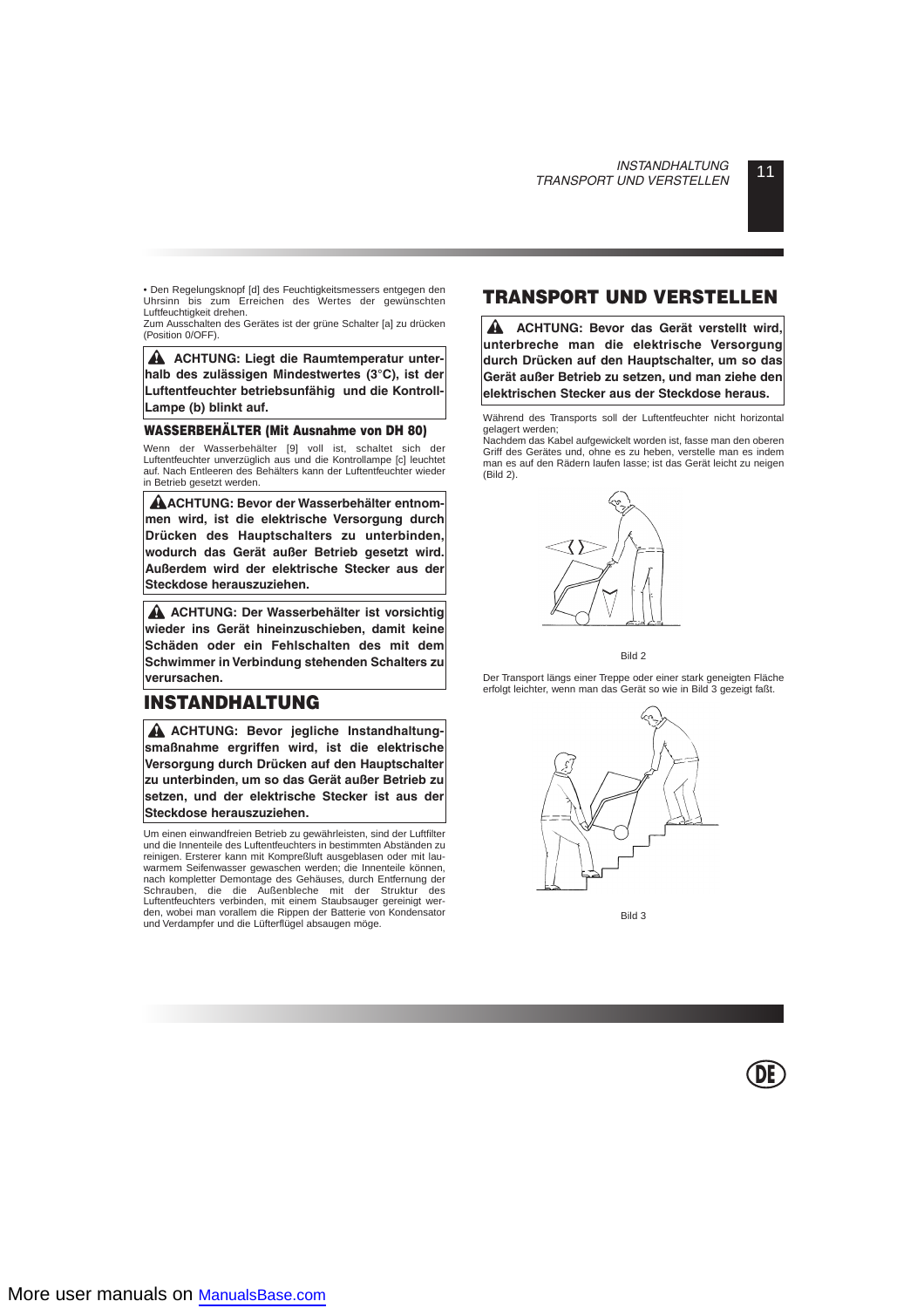• Den Regelungsknopf [d] des Feuchtigkeitsmessers entgegen den Uhrsinn bis zum Erreichen des Wertes der gewünschten Luftfeuchtigkeit drehen.

Zum Ausschalten des Gerätes ist der grüne Schalter [a] zu drücken (Position 0/OFF).

**A** ACHTUNG: Liegt die Raumtemperatur unter**halb des zulässigen Mindestwertes (3°C), ist der Luftentfeuchter betriebsunfähig und die Kontroll-Lampe (b) blinkt auf.**

#### **WASSERBEHÄLTER (Mit Ausnahme von DH 80)**

Wenn der Wasserbehälter [9] voll ist, schaltet sich der Luftentfeuchter unverzüglich aus und die Kontrollampe [c] leuchtet auf. Nach Entleeren des Behälters kann der Luftentfeuchter wieder in Betrieb gesetzt werden.

**ACHTUNG: Bevor der Wasserbehälter entnommen wird, ist die elektrische Versorgung durch Drücken des Hauptschalters zu unterbinden, wodurch das Gerät außer Betrieb gesetzt wird. Außerdem wird der elektrische Stecker aus der Steckdose herauszuziehen.**

**ACHTUNG: Der Wasserbehälter ist vorsichtig wieder ins Gerät hineinzuschieben, damit keine Schäden oder ein Fehlschalten des mit dem Schwimmer in Verbindung stehenden Schalters zu verursachen.**

# **INSTANDHALTUNG**

**A ACHTUNG: Bevor jegliche Instandhaltungsmaßnahme ergriffen wird, ist die elektrische Versorgung durch Drücken auf den Hauptschalter zu unterbinden, um so das Gerät außer Betrieb zu setzen, und der elektrische Stecker ist aus der Steckdose herauszuziehen.**

Um einen einwandfreien Betrieb zu gewährleisten, sind der Luftfilter und die Innenteile des Luftentfeuchters in bestimmten Abständen zu reinigen. Ersterer kann mit Kompreßluft ausgeblasen oder mit lauwarmem Seifenwasser gewaschen werden; die Innenteile können, nach kompletter Demontage des Gehäuses, durch Entfernung der Schrauben, die die Außenbleche mit der Struktur des Luftentfeuchters verbinden, mit einem Staubsauger gereinigt werden, wobei man vorallem die Rippen der Batterie von Kondensator und Verdampfer und die Lüfterflügel absaugen möge.

# **TRANSPORT UND VERSTELLEN**

▲ **ACHTUNG: Bevor das Gerät verstellt wird, unterbreche man die elektrische Versorgung durch Drücken auf den Hauptschalter, um so das Gerät außer Betrieb zu setzen, und man ziehe den elektrischen Stecker aus der Steckdose heraus.**

Während des Transports soll der Luftentfeuchter nicht horizontal gelagert werden;

Nachdem das Kabel aufgewickelt worden ist, fasse man den oberen Griff des Gerätes und, ohne es zu heben, verstelle man es indem man es auf den Rädern laufen lasse; ist das Gerät leicht zu neigen (Bild 2).



Bild 2

Der Transport längs einer Treppe oder einer stark geneigten Fläche erfolgt leichter, wenn man das Gerät so wie in Bild 3 gezeigt faßt.



Bild 3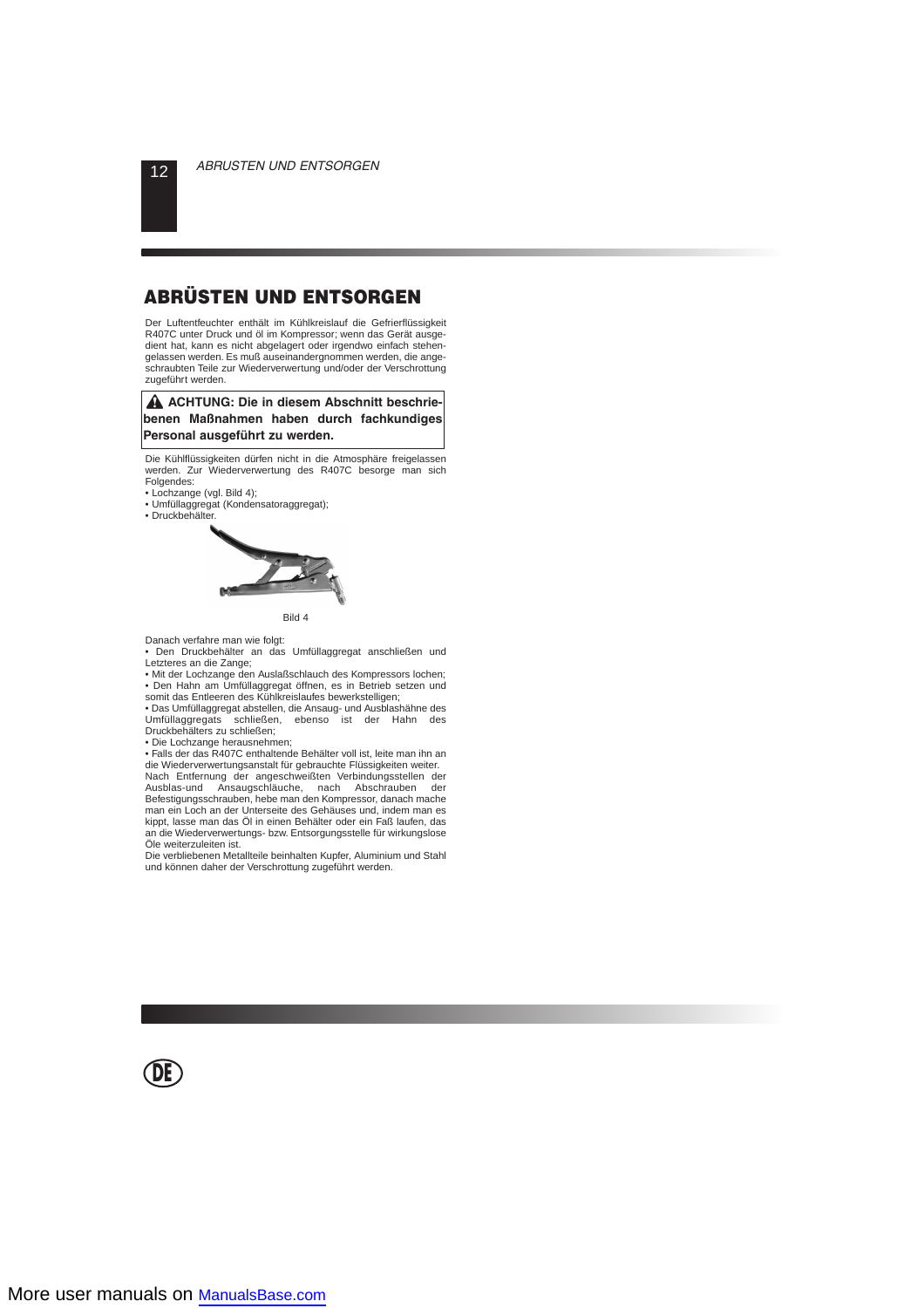# **ABRÜSTEN UND ENTSORGEN**

Der Luftentfeuchter enthält im Kühlkreislauf die Gefrierflüssigkeit R407C unter Druck und öl im Kompressor; wenn das Gerät ausgedient hat, kann es nicht abgelagert oder irgendwo einfach stehengelassen werden. Es muß auseinandergnommen werden, die angeschraubten Teile zur Wiederverwertung und/oder der Verschrottung zugeführt werden.

#### **A ACHTUNG: Die in diesem Abschnitt beschriebenen Maßnahmen haben durch fachkundiges Personal ausgeführt zu werden.**

Die Kühlflüssigkeiten dürfen nicht in die Atmosphäre freigelassen werden. Zur Wiederverwertung des R407C besorge man sich Folgendes:

- Lochzange (vgl. Bild 4);
- Umfüllaggregat (Kondensatoraggregat);
- Druckbehälter.



Bild 4

Danach verfahre man wie folgt:

• Den Druckbehälter an das Umfüllaggregat anschließen und Letzteres an die Zange:

• Mit der Lochzange den Auslaßschlauch des Kompressors lochen; • Den Hahn am Umfüllaggregat öffnen, es in Betrieb setzen und somit das Entleeren des Kühlkreislaufes bewerkstelligen;

• Das Umfüllaggregat abstellen, die Ansaug- und Ausblashähne des Umfüllaggregats schließen, ebenso ist der Hahn des Druckbehälters zu schließen;

• Die Lochzange herausnehmen;

• Falls der das R407C enthaltende Behälter voll ist, leite man ihn an die Wiederverwertungsanstalt für gebrauchte Flüssigkeiten weiter.

Nach Entfernung der angeschweißten Verbindungsstellen der<br>Ausblas-und Ansaugschläuche nach Abschrauben der Ausblas-und Ansaugschläuche, nach Abschrauben Befestigungsschrauben, hebe man den Kompressor, danach mache man ein Loch an der Unterseite des Gehäuses und, indem man es kippt, lasse man das Öl in einen Behälter oder ein Faß laufen, das an die Wiederverwertungs- bzw. Entsorgungsstelle für wirkungslose Öle weiterzuleiten ist.

Die verbliebenen Metallteile beinhalten Kupfer, Aluminium und Stahl und können daher der Verschrottung zugeführt werden.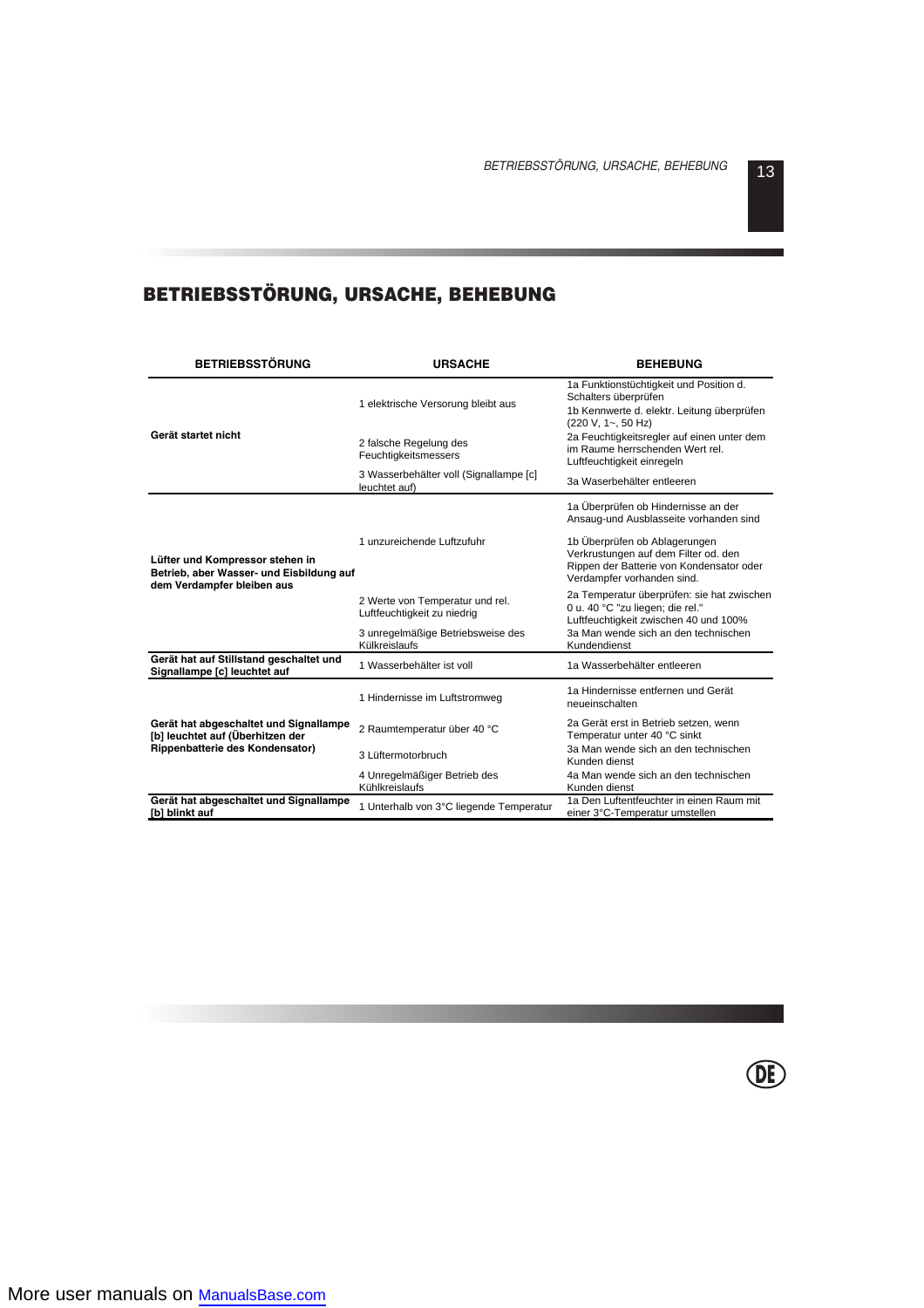# **BETRIEBSSTÖRUNG, URSACHE, BEHEBUNG**

| <b>BETRIEBSSTÖRUNG</b>                                                                                    | <b>URSACHE</b>                                                 | <b>BEHEBUNG</b>                                                                                                                                 |  |  |
|-----------------------------------------------------------------------------------------------------------|----------------------------------------------------------------|-------------------------------------------------------------------------------------------------------------------------------------------------|--|--|
|                                                                                                           | 1 elektrische Versorung bleibt aus                             | 1a Funktionstüchtigkeit und Position d.<br>Schalters überprüfen<br>1b Kennwerte d. elektr. Leitung überprüfen<br>(220 V, 1~, 50 Hz)             |  |  |
| Gerät startet nicht                                                                                       | 2 falsche Regelung des<br>Feuchtigkeitsmessers                 | 2a Feuchtigkeitsregler auf einen unter dem<br>im Raume herrschenden Wert rel.<br>Luftfeuchtigkeit einregeln                                     |  |  |
|                                                                                                           | 3 Wasserbehälter voll (Signallampe [c]<br>leuchtet auf)        | 3a Waserbehälter entleeren                                                                                                                      |  |  |
|                                                                                                           |                                                                | 1a Überprüfen ob Hindernisse an der<br>Ansaug-und Ausblasseite vorhanden sind                                                                   |  |  |
| Lüfter und Kompressor stehen in<br>Betrieb, aber Wasser- und Eisbildung auf<br>dem Verdampfer bleiben aus | 1 unzureichende Luftzufuhr                                     | 1b Überprüfen ob Ablagerungen<br>Verkrustungen auf dem Filter od. den<br>Rippen der Batterie von Kondensator oder<br>Verdampfer vorhanden sind. |  |  |
|                                                                                                           | 2 Werte von Temperatur und rel.<br>Luftfeuchtigkeit zu niedrig | 2a Temperatur überprüfen: sie hat zwischen<br>0 u. 40 °C "zu liegen; die rel."<br>Luftfeuchtigkeit zwischen 40 und 100%                         |  |  |
|                                                                                                           | 3 unregelmäßige Betriebsweise des<br>Külkreislaufs             | 3a Man wende sich an den technischen<br>Kundendienst                                                                                            |  |  |
| Gerät hat auf Stillstand geschaltet und<br>Signallampe [c] leuchtet auf                                   | 1 Wasserbehälter ist voll                                      | 1a Wasserbehälter entleeren                                                                                                                     |  |  |
|                                                                                                           | 1 Hindernisse im Luftstromweg                                  | 1a Hindernisse entfernen und Gerät<br>neueinschalten                                                                                            |  |  |
| Gerät hat abgeschaltet und Signallampe<br>[b] leuchtet auf (Überhitzen der                                | 2 Raumtemperatur über 40 °C                                    | 2a Gerät erst in Betrieb setzen, wenn<br>Temperatur unter 40 °C sinkt                                                                           |  |  |
| Rippenbatterie des Kondensator)                                                                           | 3 Lüftermotorbruch                                             | 3a Man wende sich an den technischen<br>Kunden dienst                                                                                           |  |  |
|                                                                                                           | 4 Unregelmäßiger Betrieb des<br>Kühlkreislaufs                 | 4a Man wende sich an den technischen<br>Kunden dienst                                                                                           |  |  |
| Gerät hat abgeschaltet und Signallampe<br>[b] blinkt auf                                                  | 1 Unterhalb von 3°C liegende Temperatur                        | 1a Den Luftentfeuchter in einen Raum mit<br>einer 3°C-Temperatur umstellen                                                                      |  |  |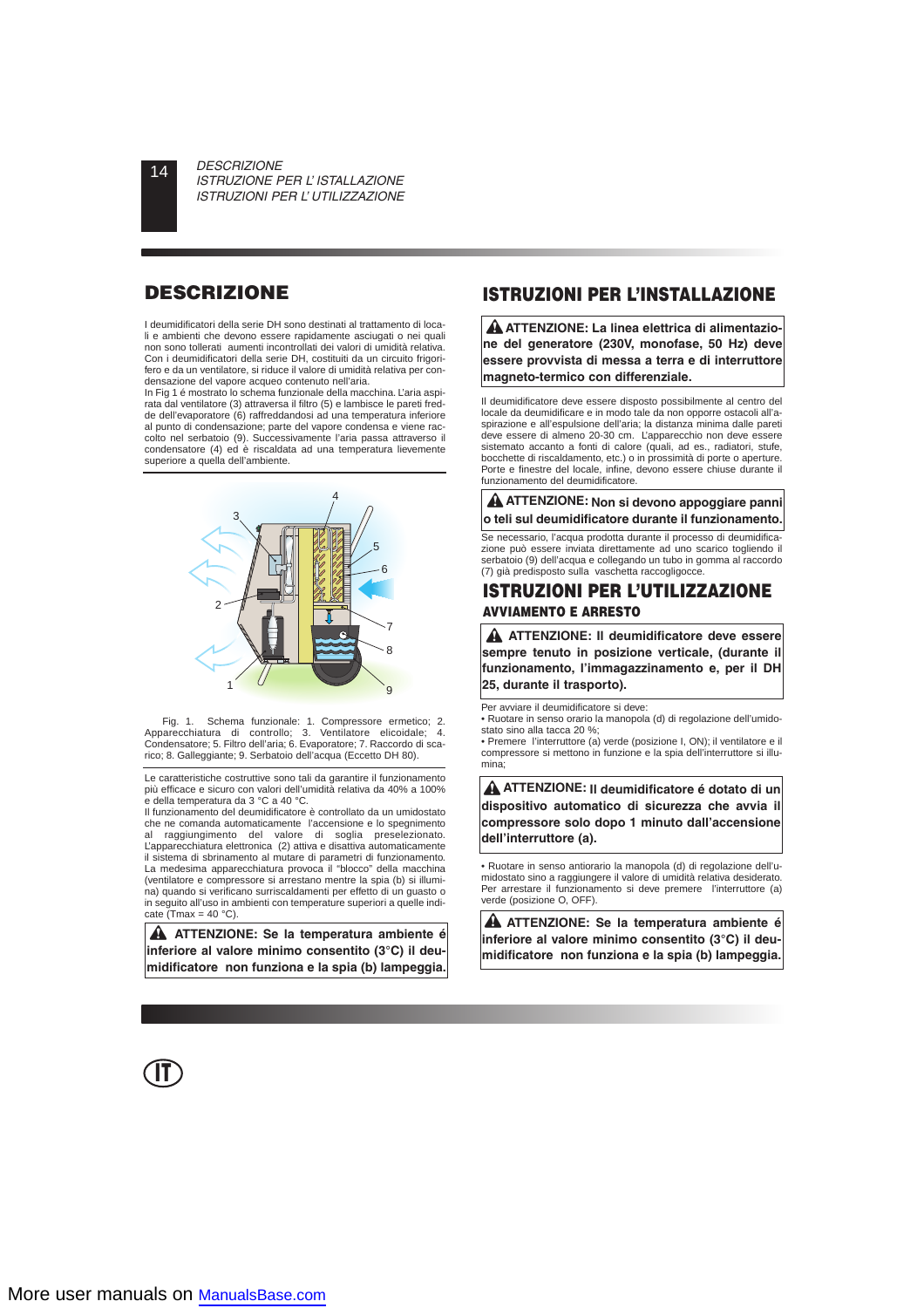I deumidificatori della serie DH sono destinati al trattamento di locali e ambienti che devono essere rapidamente asciugati o nei quali non sono tollerati aumenti incontrollati dei valori di umidità relativa. Con i deumidificatori della serie DH, costituiti da un circuito frigorifero e da un ventilatore, si riduce il valore di umidità relativa per condensazione del vapore acqueo contenuto nell'aria.

In Fig 1 é mostrato lo schema funzionale della macchina. L'aria aspirata dal ventilatore (3) attraversa il filtro (5) e lambisce le pareti fredde dell'evaporatore (6) raffreddandosi ad una temperatura inferiore al punto di condensazione; parte del vapore condensa e viene raccolto nel serbatoio (9). Successivamente l'aria passa attraverso il condensatore (4) ed è riscaldata ad una temperatura lievemente superiore a quella dell'ambiente.



Fig. 1. Schema funzionale: 1. Compressore ermetico; 2. Apparecchiatura di controllo; 3. Ventilatore elicoidale; 4. Condensatore; 5. Filtro dell'aria; 6. Evaporatore; 7. Raccordo di scarico; 8. Galleggiante; 9. Serbatoio dell'acqua (Eccetto DH 80).

Le caratteristiche costruttive sono tali da garantire il funzionamento più efficace e sicuro con valori dell'umidità relativa da 40% a 100% e della temperatura da 3 °C a 40 °C.

Il funzionamento del deumidificatore è controllato da un umidostato che ne comanda automaticamente l'accensione e lo spegnimento al raggiungimento del valore di soglia preselezionato. L'apparecchiatura elettronica (2) attiva e disattiva automaticamente il sistema di sbrinamento al mutare di parametri di funzionamento. La medesima apparecchiatura provoca il "blocco" della macchina (ventilatore e compressore si arrestano mentre la spia (b) si illumina) quando si verificano surriscaldamenti per effetto di un guasto o in seguito all'uso in ambienti con temperature superiori a quelle indicate (Tmax =  $40 °C$ ).

**ATTENZIONE: Se la temperatura ambiente é inferiore al valore minimo consentito (3°C) il deumidificatore non funziona e la spia (b) lampeggia.**

**IT**

# **DESCRIZIONE ISTRUZIONI PER L'INSTALLAZIONE**

**ATTENZIONE: La linea elettrica di alimentazione del generatore (230V, monofase, 50 Hz) deve essere provvista di messa a terra e di interruttore magneto-termico con differenziale.**

Il deumidificatore deve essere disposto possibilmente al centro del locale da deumidificare e in modo tale da non opporre ostacoli all'aspirazione e all'espulsione dell'aria; la distanza minima dalle pareti deve essere di almeno 20-30 cm. L'apparecchio non deve essere sistemato accanto a fonti di calore (quali, ad es., radiatori, stufe, bocchette di riscaldamento, etc.) o in prossimità di porte o aperture. Porte e finestre del locale, infine, devono essere chiuse durante il funzionamento del deumidificatore.

## **ATTENZIONE: Non si devono appoggiare panni o teli sul deumidificatore durante il funzionamento.**

Se necessario, l'acqua prodotta durante il processo di deumidificazione può essere inviata direttamente ad uno scarico togliendo il serbatoio (9) dell'acqua e collegando un tubo in gomma al raccordo (7) già predisposto sulla vaschetta raccogligocce.

# **ISTRUZIONI PER L'UTILIZZAZIONE AVVIAMENTO E ARRESTO**

**ATTENZIONE: Il deumidificatore deve essere sempre tenuto in posizione verticale, (durante il funzionamento, l'immagazzinamento e, per il DH 25, durante il trasporto).**

Per avviare il deumidificatore si deve:

• Ruotare in senso orario la manopola (d) di regolazione dell'umidostato sino alla tacca 20 %;

• Premere l'interruttore (a) verde (posizione I, ON); il ventilatore e il compressore si mettono in funzione e la spia dell'interruttore si illumina;

**ATTENZIONE: Il deumidificatore é dotato di un dispositivo automatico di sicurezza che avvia il compressore solo dopo 1 minuto dall'accensione dell'interruttore (a).**

• Ruotare in senso antiorario la manopola (d) di regolazione dell'umidostato sino a raggiungere il valore di umidità relativa desiderato. Per arrestare il funzionamento si deve premere l'interruttore (a) verde (posizione O, OFF).

**ATTENZIONE: Se la temperatura ambiente é inferiore al valore minimo consentito (3°C) il deumidificatore non funziona e la spia (b) lampeggia.**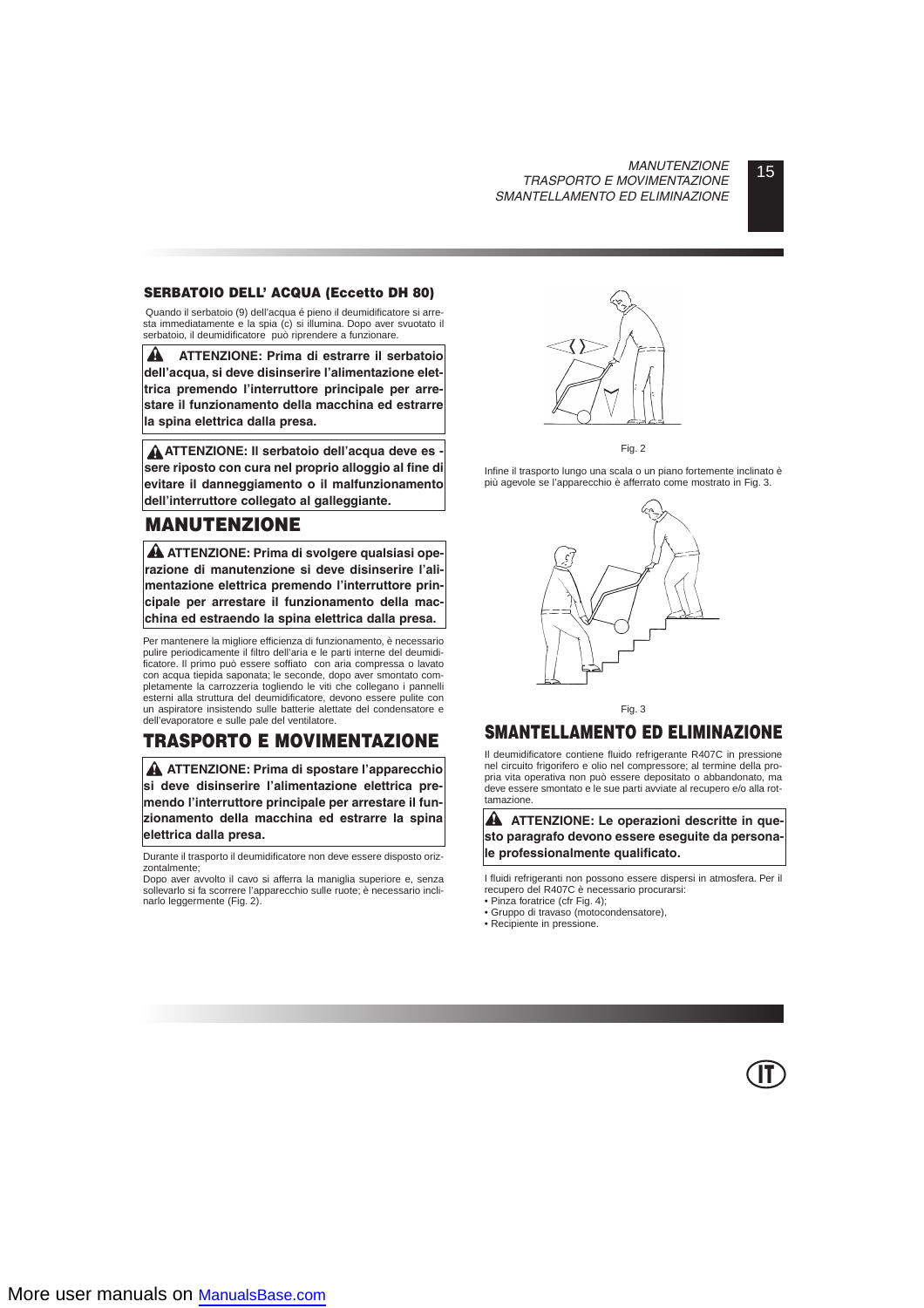# 15 *MANUTENZIONE TRASPORTO E MOVIMENTAZIONE SMANTELLAMENTO ED ELIMINAZIONE*

# **SERBATOIO DELL' ACQUA (Eccetto DH 80)**

Quando il serbatoio (9) dell'acqua é pieno il deumidificatore si arresta immediatamente e la spia (c) si illumina. Dopo aver svuotato il serbatoio, il deumidificatore può riprendere a funzionare.

A **ATTENZIONE: Prima di estrarre il serbatoio dell'acqua, si deve disinserire l'alimentazione elettrica premendo l'interruttore principale per arrestare il funzionamento della macchina ed estrarre la spina elettrica dalla presa.**

**ATTENZIONE: Il serbatoio dell'acqua deve es sere riposto con cura nel proprio alloggio al fine di evitare il danneggiamento o il malfunzionamento dell'interruttore collegato al galleggiante.**

# **MANUTENZIONE**

**ATTENZIONE: Prima di svolgere qualsiasi operazione di manutenzione si deve disinserire l'alimentazione elettrica premendo l'interruttore principale per arrestare il funzionamento della macchina ed estraendo la spina elettrica dalla presa.**

Per mantenere la migliore efficienza di funzionamento, è necessario pulire periodicamente il filtro dell'aria e le parti interne del deumidificatore. Il primo può essere soffiato con aria compressa o lavato con acqua tiepida saponata; le seconde, dopo aver smontato completamente la carrozzeria togliendo le viti che collegano i pannelli esterni alla struttura del deumidificatore, devono essere pulite con un aspiratore insistendo sulle batterie alettate del condensatore e dell'evaporatore e sulle pale del ventilatore.

# **TRASPORTO E MOVIMENTAZIONE**

**ATTENZIONE: Prima di spostare l'apparecchio si deve disinserire l'alimentazione elettrica premendo l'interruttore principale per arrestare il funzionamento della macchina ed estrarre la spina elettrica dalla presa.**

Durante il trasporto il deumidificatore non deve essere disposto orizzontalmente;

Dopo aver avvolto il cavo si afferra la maniglia superiore e, senza sollevarlo si fa scorrere l'apparecchio sulle ruote; è necessario inclinarlo leggermente (Fig. 2).





Infine il trasporto lungo una scala o un piano fortemente inclinato è più agevole se l'apparecchio è afferrato come mostrato in Fig. 3.



Fig. 3

# **SMANTELLAMENTO ED ELIMINAZIONE**

Il deumidificatore contiene fluido refrigerante R407C in pressione nel circuito frigorifero e olio nel compressore; al termine della propria vita operativa non può essere depositato o abbandonato, ma deve essere smontato e le sue parti avviate al recupero e/o alla rottamazione.

**A** ATTENZIONE: Le operazioni descritte in que**sto paragrafo devono essere eseguite da personale professionalmente qualificato.**

I fluidi refrigeranti non possono essere dispersi in atmosfera. Per il recupero del R407C è necessario procurarsi:

• Pinza foratrice (cfr Fig. 4);

- Gruppo di travaso (motocondensatore),
- Recipiente in pressione.

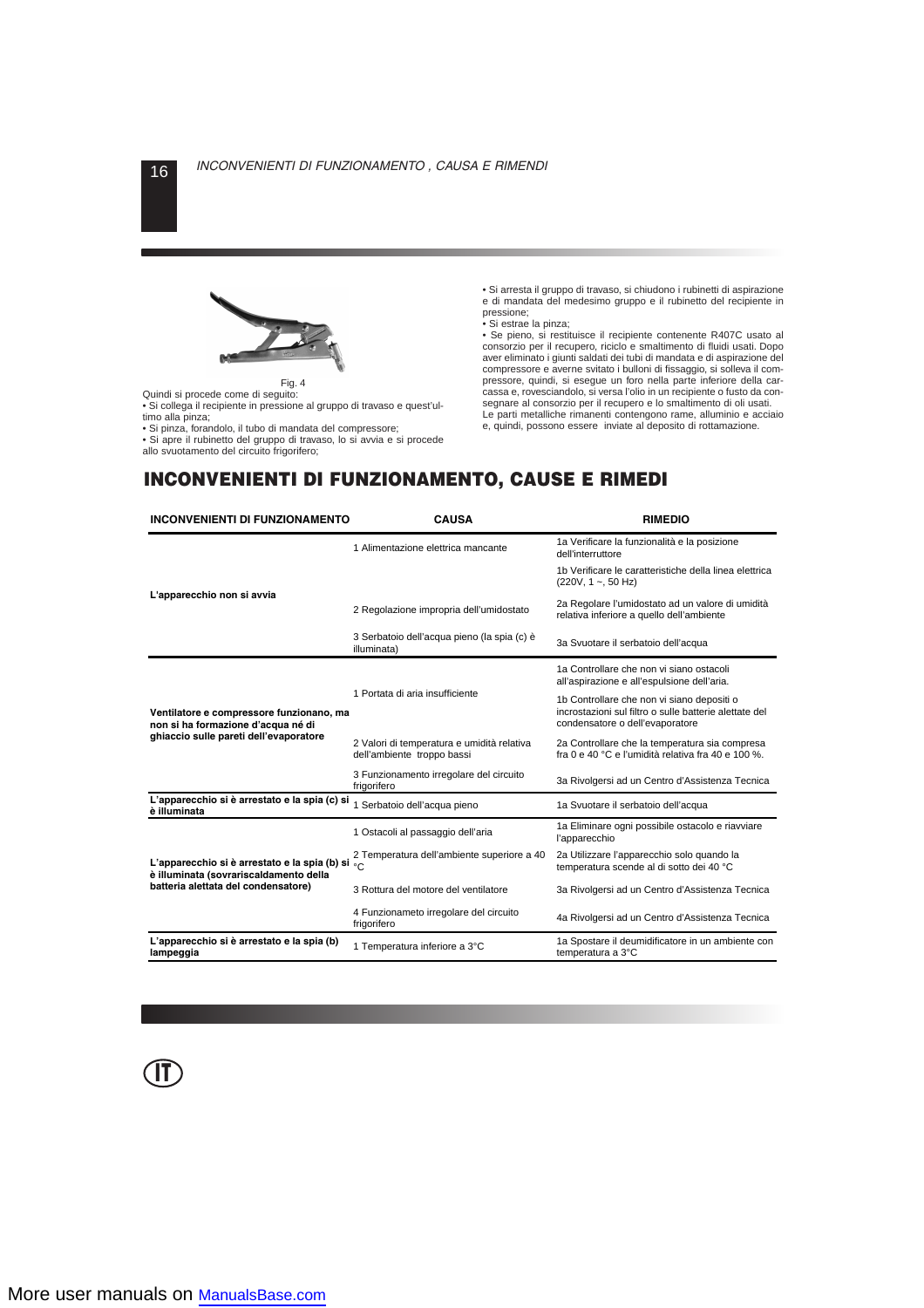

Quindi si procede come di seguito:

• Si collega il recipiente in pressione al gruppo di travaso e quest'ultimo alla pinza;

• Si pinza, forandolo, il tubo di mandata del compressore;

• Si apre il rubinetto del gruppo di travaso, lo si avvia e si procede allo svuotamento del circuito frigorifero;

• Si arresta il gruppo di travaso, si chiudono i rubinetti di aspirazione e di mandata del medesimo gruppo e il rubinetto del recipiente in pressione;

• Si estrae la pinza;

• Se pieno, si restituisce il recipiente contenente R407C usato al consorzio per il recupero, riciclo e smaltimento di fluidi usati. Dopo aver eliminato i giunti saldati dei tubi di mandata e di aspirazione del compressore e averne svitato i bulloni di fissaggio, si solleva il compressore, quindi, si esegue un foro nella parte inferiore della carcassa e, rovesciandolo, si versa l'olio in un recipiente o fusto da consegnare al consorzio per il recupero e lo smaltimento di oli usati. Le parti metalliche rimanenti contengono rame, alluminio e acciaio e, quindi, possono essere inviate al deposito di rottamazione.

# **INCONVENIENTI DI FUNZIONAMENTO, CAUSE E RIMEDI**

| <b>INCONVENIENTI DI FUNZIONAMENTO</b>                                                                                    | <b>CAUSA</b>                                                             | <b>RIMEDIO</b>                                                                                                                          |  |  |
|--------------------------------------------------------------------------------------------------------------------------|--------------------------------------------------------------------------|-----------------------------------------------------------------------------------------------------------------------------------------|--|--|
|                                                                                                                          | 1 Alimentazione elettrica mancante                                       | 1a Verificare la funzionalità e la posizione<br>dell'interruttore                                                                       |  |  |
|                                                                                                                          |                                                                          | 1b Verificare le caratteristiche della linea elettrica<br>$(220V, 1 \sim 50 Hz)$                                                        |  |  |
| L'apparecchio non si avvia                                                                                               | 2 Regolazione impropria dell'umidostato                                  | 2a Regolare l'umidostato ad un valore di umidità<br>relativa inferiore a quello dell'ambiente                                           |  |  |
|                                                                                                                          | 3 Serbatoio dell'acqua pieno (la spia (c) è<br>illuminata)               | 3a Svuotare il serbatoio dell'acqua                                                                                                     |  |  |
|                                                                                                                          |                                                                          | 1a Controllare che non vi siano ostacoli<br>all'aspirazione e all'espulsione dell'aria.                                                 |  |  |
| Ventilatore e compressore funzionano, ma<br>non si ha formazione d'acqua né di<br>ghiaccio sulle pareti dell'evaporatore | 1 Portata di aria insufficiente                                          | 1b Controllare che non vi siano depositi o<br>incrostazioni sul filtro o sulle batterie alettate del<br>condensatore o dell'evaporatore |  |  |
|                                                                                                                          | 2 Valori di temperatura e umidità relativa<br>dell'ambiente troppo bassi | 2a Controllare che la temperatura sia compresa<br>fra 0 e 40 °C e l'umidità relativa fra 40 e 100 %.                                    |  |  |
|                                                                                                                          | 3 Funzionamento irregolare del circuito<br>frigorifero                   | 3a Rivolgersi ad un Centro d'Assistenza Tecnica                                                                                         |  |  |
| L'apparecchio si è arrestato e la spia (c) si<br>è illuminata                                                            | 1 Serbatoio dell'acqua pieno                                             | 1a Svuotare il serbatoio dell'acqua                                                                                                     |  |  |
|                                                                                                                          | 1 Ostacoli al passaggio dell'aria                                        | 1a Eliminare ogni possibile ostacolo e riavviare<br>l'apparecchio                                                                       |  |  |
| L'apparecchio si è arrestato e la spia (b) si $\frac{1}{2}$ C<br>è illuminata (sovrariscaldamento della                  | 2 Temperatura dell'ambiente superiore a 40                               | 2a Utilizzare l'apparecchio solo quando la<br>temperatura scende al di sotto dei 40 °C                                                  |  |  |
| batteria alettata del condensatore)                                                                                      | 3 Rottura del motore del ventilatore                                     | 3a Rivolgersi ad un Centro d'Assistenza Tecnica                                                                                         |  |  |
|                                                                                                                          | 4 Funzionameto irregolare del circuito<br>frigorifero                    | 4a Rivolgersi ad un Centro d'Assistenza Tecnica                                                                                         |  |  |
| L'apparecchio si è arrestato e la spia (b)<br>lampeggia                                                                  | 1 Temperatura inferiore a 3°C                                            | 1a Spostare il deumidificatore in un ambiente con<br>temperatura a 3°C                                                                  |  |  |

**IT**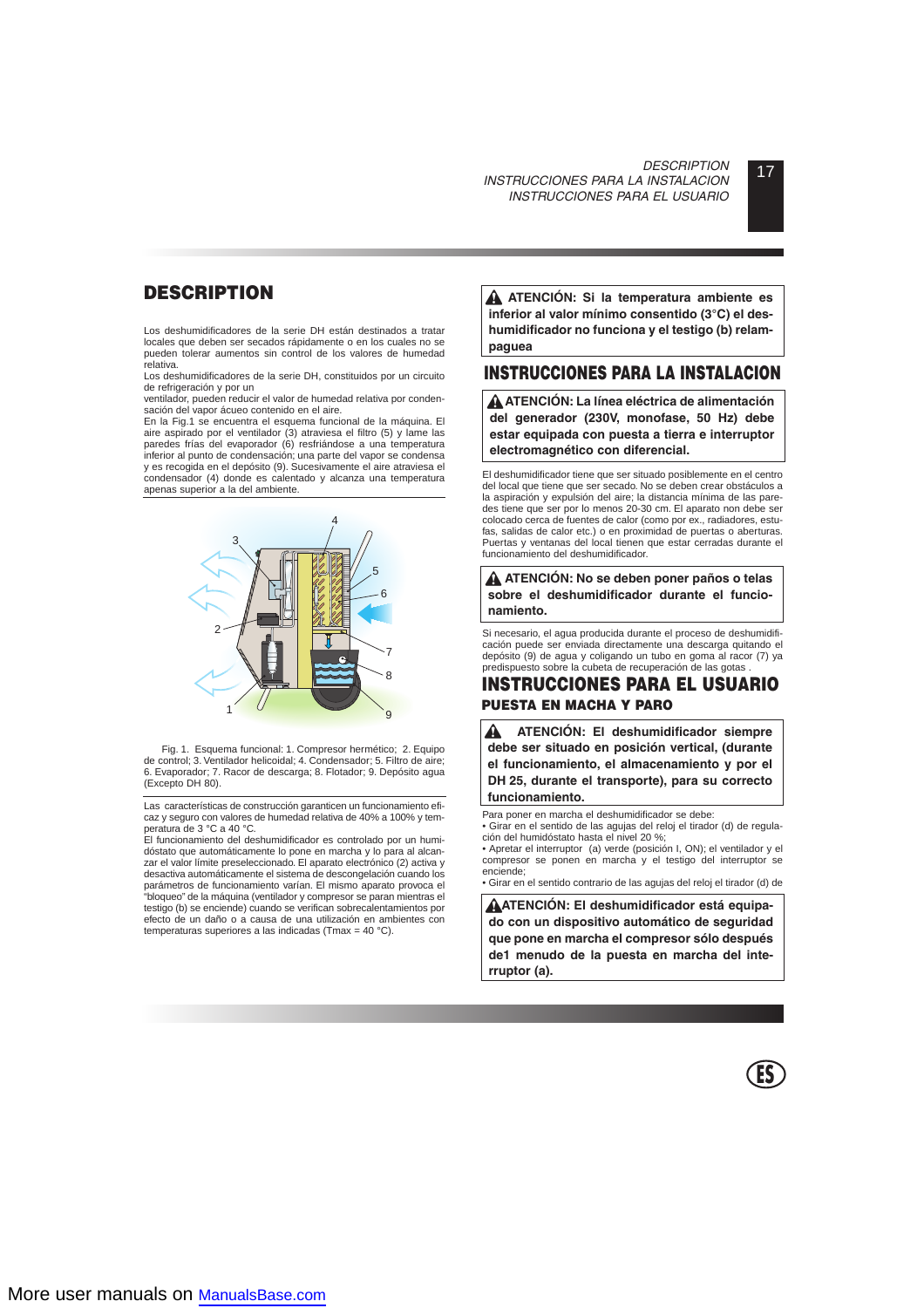# 17 *DESCRIPTION INSTRUCCIONES PARA LA INSTALACION INSTRUCCIONES PARA EL USUARIO*

# **DESCRIPTION**

Los deshumidificadores de la serie DH están destinados a tratar locales que deben ser secados rápidamente o en los cuales no se pueden tolerar aumentos sin control de los valores de humedad relativa.

Los deshumidificadores de la serie DH, constituidos por un circuito de refrigeración y por un

ventilador, pueden reducir el valor de humedad relativa por condensación del vapor ácueo contenido en el aire.

En la Fig.1 se encuentra el esquema funcional de la máquina. El aire aspirado por el ventilador (3) atraviesa el filtro (5) y lame las paredes frías del evaporador (6) resfriándose a una temperatura inferior al punto de condensación; una parte del vapor se condensa y es recogida en el depósito (9). Sucesivamente el aire atraviesa el condensador (4) donde es calentado y alcanza una temperatura apenas superior a la del ambiente.



Fig. 1. Esquema funcional: 1. Compresor hermético; 2. Equipo de control; 3. Ventilador helicoidal; 4. Condensador; 5. Filtro de aire; 6. Evaporador; 7. Racor de descarga; 8. Flotador; 9. Depósito agua (Excepto DH 80).

Las características de construcción garanticen un funcionamiento eficaz y seguro con valores de humedad relativa de 40% a 100% y temperatura de 3 °C a 40 °C.

El funcionamiento del deshumidificador es controlado por un humidóstato que automáticamente lo pone en marcha y lo para al alcanzar el valor límite preseleccionado. El aparato electrónico (2) activa y desactiva automáticamente el sistema de descongelación cuando los parámetros de funcionamiento varían. El mismo aparato provoca el "bloqueo" de la máquina (ventilador y compresor se paran mientras el testigo (b) se enciende) cuando se verifican sobrecalentamientos por efecto de un daño o a causa de una utilización en ambientes con temperaturas superiores a las indicadas (Tmax = 40 °C).

**ATENCIÓN: Si la temperatura ambiente es inferior al valor mínimo consentido (3°C) el deshumidificador no funciona y el testigo (b) relampaguea**

# **INSTRUCCIONES PARA LA INSTALACION**

**ATENCIÓN: La línea eléctrica de alimentación del generador (230V, monofase, 50 Hz) debe estar equipada con puesta a tierra e interruptor electromagnético con diferencial.**

El deshumidificador tiene que ser situado posiblemente en el centro del local que tiene que ser secado. No se deben crear obstáculos a la aspiración y expulsión del aire; la distancia mínima de las paredes tiene que ser por lo menos 20-30 cm. El aparato non debe ser colocado cerca de fuentes de calor (como por ex., radiadores, estufas, salidas de calor etc.) o en proximidad de puertas o aberturas. Puertas y ventanas del local tienen que estar cerradas durante el funcionamiento del deshumidificador.

**ATENCIÓN: No se deben poner paños o telas sobre el deshumidificador durante el funcionamiento.**

Si necesario, el agua producida durante el proceso de deshumidificación puede ser enviada directamente una descarga quitando el depósito (9) de agua y coligando un tubo en goma al racor (7) ya predispuesto sobre la cubeta de recuperación de las gotas .

# **INSTRUCCIONES PARA EL USUARIO PUESTA EN MACHA Y PARO**

A **ATENCIÓN: El deshumidificador siempre debe ser situado en posición vertical, (durante el funcionamiento, el almacenamiento y por el DH 25, durante el transporte), para su correcto funcionamiento.**

Para poner en marcha el deshumidificador se debe:

• Girar en el sentido de las agujas del reloj el tirador (d) de regulación del humidóstato hasta el nivel 20 %;

• Apretar el interruptor (a) verde (posición I, ON); el ventilador y el compresor se ponen en marcha y el testigo del interruptor se enciende;

• Girar en el sentido contrario de las agujas del reloj el tirador (d) de

**ATENCIÓN: El deshumidificador está equipado con un dispositivo automático de seguridad que pone en marcha el compresor sólo después de1 menudo de la puesta en marcha del interruptor (a).**

**ES**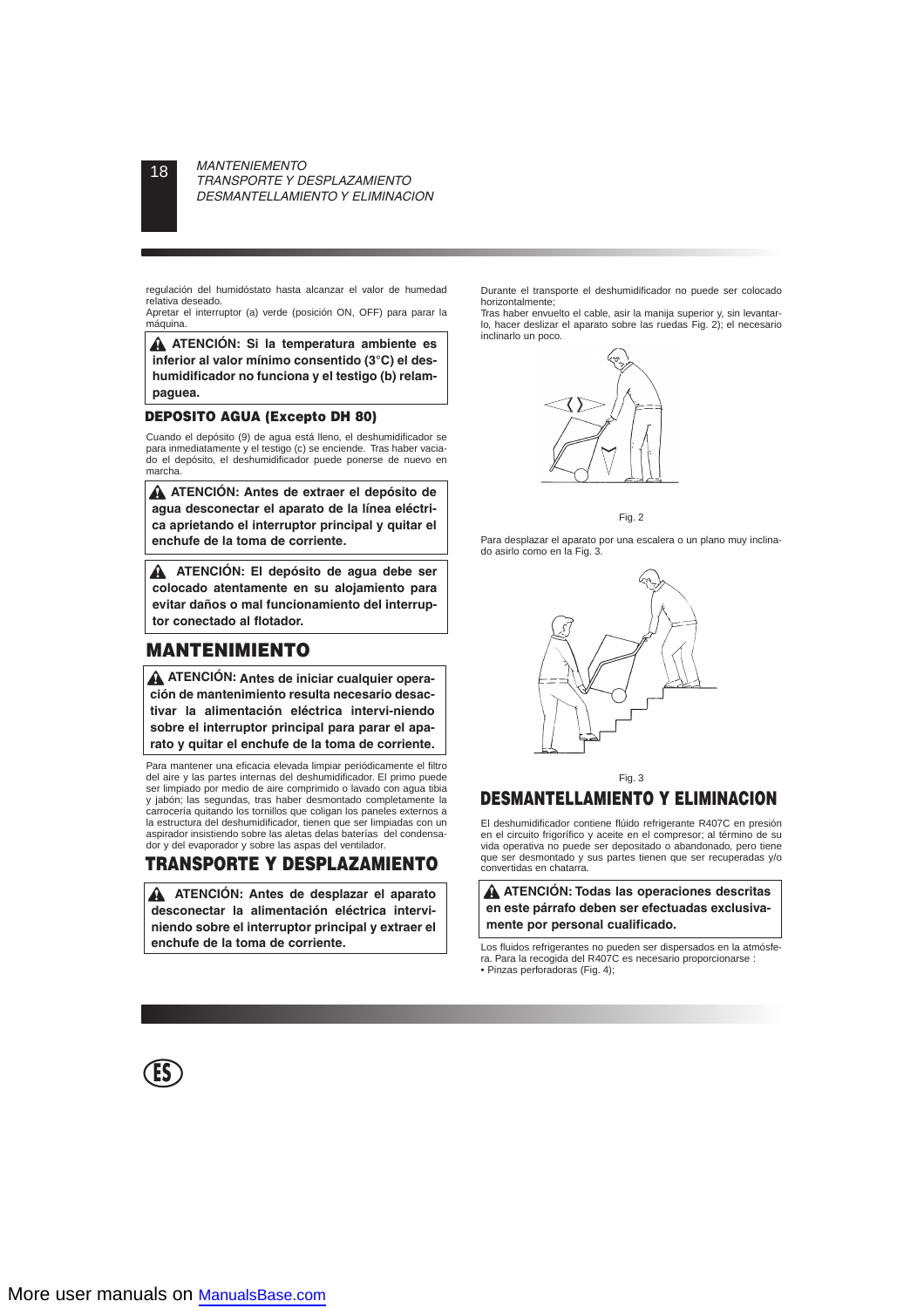regulación del humidóstato hasta alcanzar el valor de humedad relativa deseado.

Apretar el interruptor (a) verde (posición ON, OFF) para parar la máquina.

**ATENCIÓN: Si la temperatura ambiente es inferior al valor mínimo consentido (3°C) el deshumidificador no funciona y el testigo (b) relampaguea.**

## **DEPOSITO AGUA (Excepto DH 80)**

Cuando el depósito (9) de agua está lleno, el deshumidificador se para inmediatamente y el testigo (c) se enciende. Tras haber vaciado el depósito, el deshumidificador puede ponerse de nuevo en marcha.

**ATENCIÓN: Antes de extraer el depósito de agua desconectar el aparato de la línea eléctrica aprietando el interruptor principal y quitar el enchufe de la toma de corriente.**

**ATENCIÓN: El depósito de agua debe ser colocado atentamente en su alojamiento para evitar daños o mal funcionamiento del interruptor conectado al flotador.**

# **MANTENIMIENTO**

**ATENCIÓN: Antes de iniciar cualquier operación de mantenimiento resulta necesario desactivar la alimentación eléctrica intervi-niendo sobre el interruptor principal para parar el aparato y quitar el enchufe de la toma de corriente.**

Para mantener una eficacia elevada limpiar periódicamente el filtro del aire y las partes internas del deshumidificador. El primo puede ser limpiado por medio de aire comprimido o lavado con agua tibia y jabón; las segundas, tras haber desmontado completamente la carrocería quitando los tornillos que coligan los paneles externos a la estructura del deshumidificador, tienen que ser limpiadas con un aspirador insistiendo sobre las aletas delas baterías del condensador y del evaporador y sobre las aspas del ventilador.

# **TRANSPORTE Y DESPLAZAMIENTO**

**ATENCIÓN: Antes de desplazar el aparato desconectar la alimentación eléctrica interviniendo sobre el interruptor principal y extraer el enchufe de la toma de corriente.**

Durante el transporte el deshumidificador no puede ser colocado horizontalmente;

Tras haber envuelto el cable, asir la manija superior y, sin levantarlo, hacer deslizar el aparato sobre las ruedas Fig. 2); el necesario inclinarlo un poco.



Fig. 2

Para desplazar el aparato por una escalera o un plano muy inclinado asirlo como en la Fig. 3.



Fig. 3

# **DESMANTELLAMIENTO Y ELIMINACION**

El deshumidificador contiene flúido refrigerante R407C en presión en el circuito frigorífico y aceite en el compresor; al término de su vida operativa no puede ser depositado o abandonado, pero tiene que ser desmontado y sus partes tienen que ser recuperadas y/o convertidas en chatarra.

**ATENCIÓN: Todas las operaciones descritas en este párrafo deben ser efectuadas exclusivamente por personal cualificado.**

Los fluidos refrigerantes no pueden ser dispersados en la atmósfera. Para la recogida del R407C es necesario proporcionarse : • Pinzas perforadoras (Fig. 4);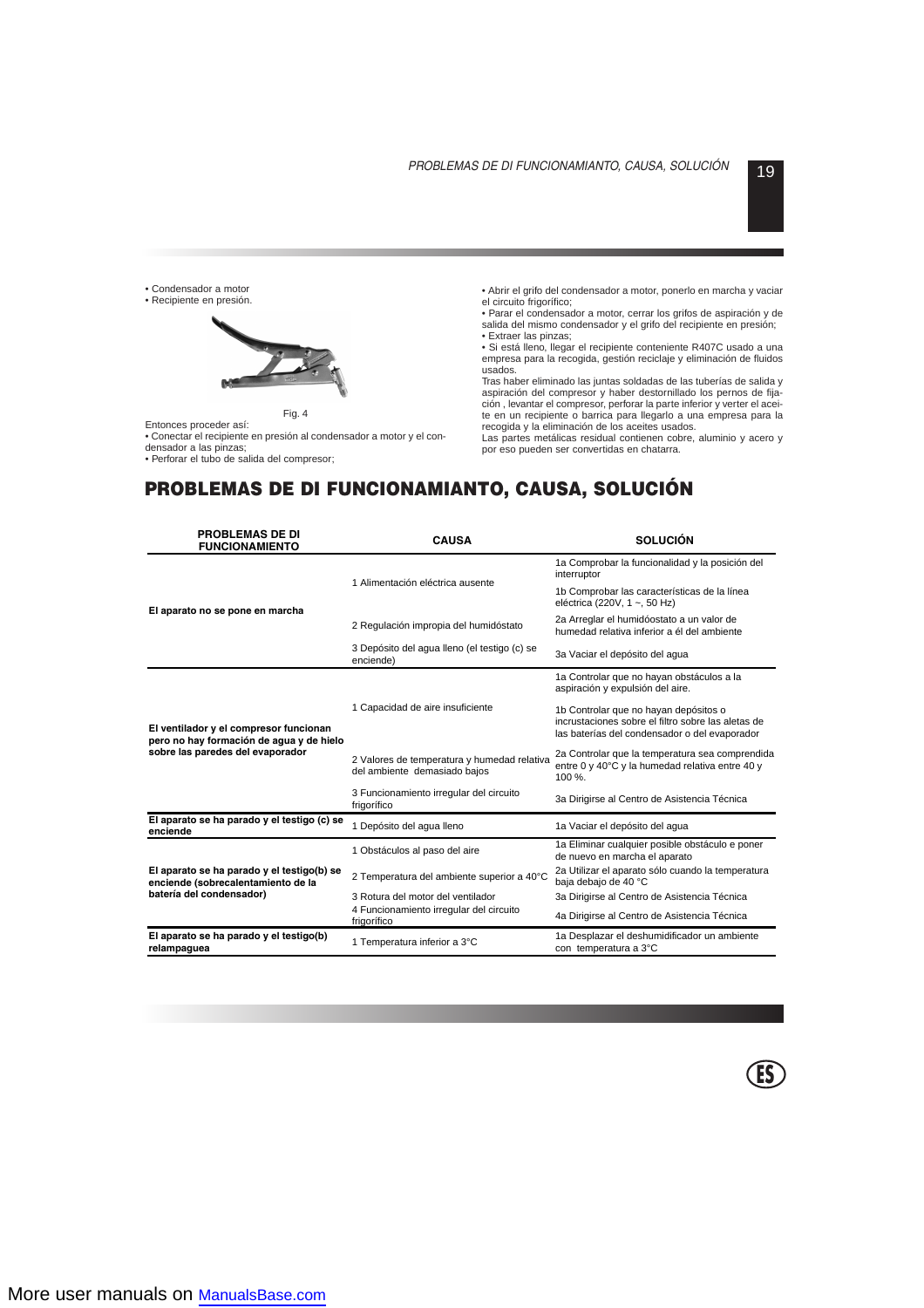**ES**

• Condensador a motor

• Recipiente en presión.



Fig. 4

Entonces proceder así:

• Conectar el recipiente en presión al condensador a motor y el condensador a las pinzas;

• Perforar el tubo de salida del compresor;

• Abrir el grifo del condensador a motor, ponerlo en marcha y vaciar el circuito frigorífico;

• Parar el condensador a motor, cerrar los grifos de aspiración y de salida del mismo condensador y el grifo del recipiente en presión;

• Extraer las pinzas;

• Si está lleno, llegar el recipiente conteniente R407C usado a una empresa para la recogida, gestión reciclaje y eliminación de fluidos usados.

Tras haber eliminado las juntas soldadas de las tuberías de salida y aspiración del compresor y haber destornillado los pernos de fijación , levantar el compresor, perforar la parte inferior y verter el aceite en un recipiente o barrica para llegarlo a una empresa para la recogida y la eliminación de los aceites usados.

Las partes metálicas residual contienen cobre, aluminio y acero y por eso pueden ser convertidas en chatarra.

# **PROBLEMAS DE DI FUNCIONAMIANTO, CAUSA, SOLUCIÓN**

| <b>PROBLEMAS DE DI</b><br><b>FUNCIONAMIENTO</b>                                                                        | <b>CAUSA</b>                                                                | <b>SOLUCIÓN</b>                                                                                                                              |  |  |
|------------------------------------------------------------------------------------------------------------------------|-----------------------------------------------------------------------------|----------------------------------------------------------------------------------------------------------------------------------------------|--|--|
|                                                                                                                        | 1 Alimentación eléctrica ausente                                            | 1a Comprobar la funcionalidad y la posición del<br>interruptor                                                                               |  |  |
|                                                                                                                        |                                                                             | 1b Comprobar las características de la línea<br>eléctrica (220V, 1 ~, 50 Hz)                                                                 |  |  |
| El aparato no se pone en marcha                                                                                        | 2 Regulación impropia del humidóstato                                       | 2a Arreglar el humidóostato a un valor de<br>humedad relativa inferior a él del ambiente                                                     |  |  |
|                                                                                                                        | 3 Depósito del agua lleno (el testigo (c) se<br>enciende)                   | 3a Vaciar el depósito del aqua                                                                                                               |  |  |
|                                                                                                                        |                                                                             | 1a Controlar que no hayan obstáculos a la<br>aspiración y expulsión del aire.                                                                |  |  |
| El ventilador y el compresor funcionan<br>pero no hay formación de agua y de hielo<br>sobre las paredes del evaporador | 1 Capacidad de aire insuficiente                                            | 1b Controlar que no hayan depósitos o<br>incrustaciones sobre el filtro sobre las aletas de<br>las baterías del condensador o del evaporador |  |  |
|                                                                                                                        | 2 Valores de temperatura y humedad relativa<br>del ambiente demasiado bajos | 2a Controlar que la temperatura sea comprendida<br>entre 0 y 40°C y la humedad relativa entre 40 y<br>100 %.                                 |  |  |
|                                                                                                                        | 3 Funcionamiento irregular del circuito<br>frigorífico                      | 3a Dirigirse al Centro de Asistencia Técnica                                                                                                 |  |  |
| El aparato se ha parado y el testigo (c) se<br>enciende                                                                | 1 Depósito del aqua lleno                                                   | 1a Vaciar el depósito del aqua                                                                                                               |  |  |
|                                                                                                                        | 1 Obstáculos al paso del aire                                               | 1a Eliminar cualquier posible obstáculo e poner<br>de nuevo en marcha el aparato                                                             |  |  |
| El aparato se ha parado y el testigo(b) se<br>enciende (sobrecalentamiento de la                                       | 2 Temperatura del ambiente superior a 40°C                                  | 2a Utilizar el aparato sólo cuando la temperatura<br>baja debajo de 40 °C                                                                    |  |  |
| batería del condensador)                                                                                               | 3 Rotura del motor del ventilador                                           | 3a Dirigirse al Centro de Asistencia Técnica                                                                                                 |  |  |
|                                                                                                                        | 4 Funcionamiento irregular del circuito<br>frigorífico                      | 4a Dirigirse al Centro de Asistencia Técnica                                                                                                 |  |  |
| El aparato se ha parado y el testigo(b)<br>relampaguea                                                                 | 1 Temperatura inferior a 3°C                                                | 1a Desplazar el deshumidificador un ambiente<br>con temperatura a 3°C                                                                        |  |  |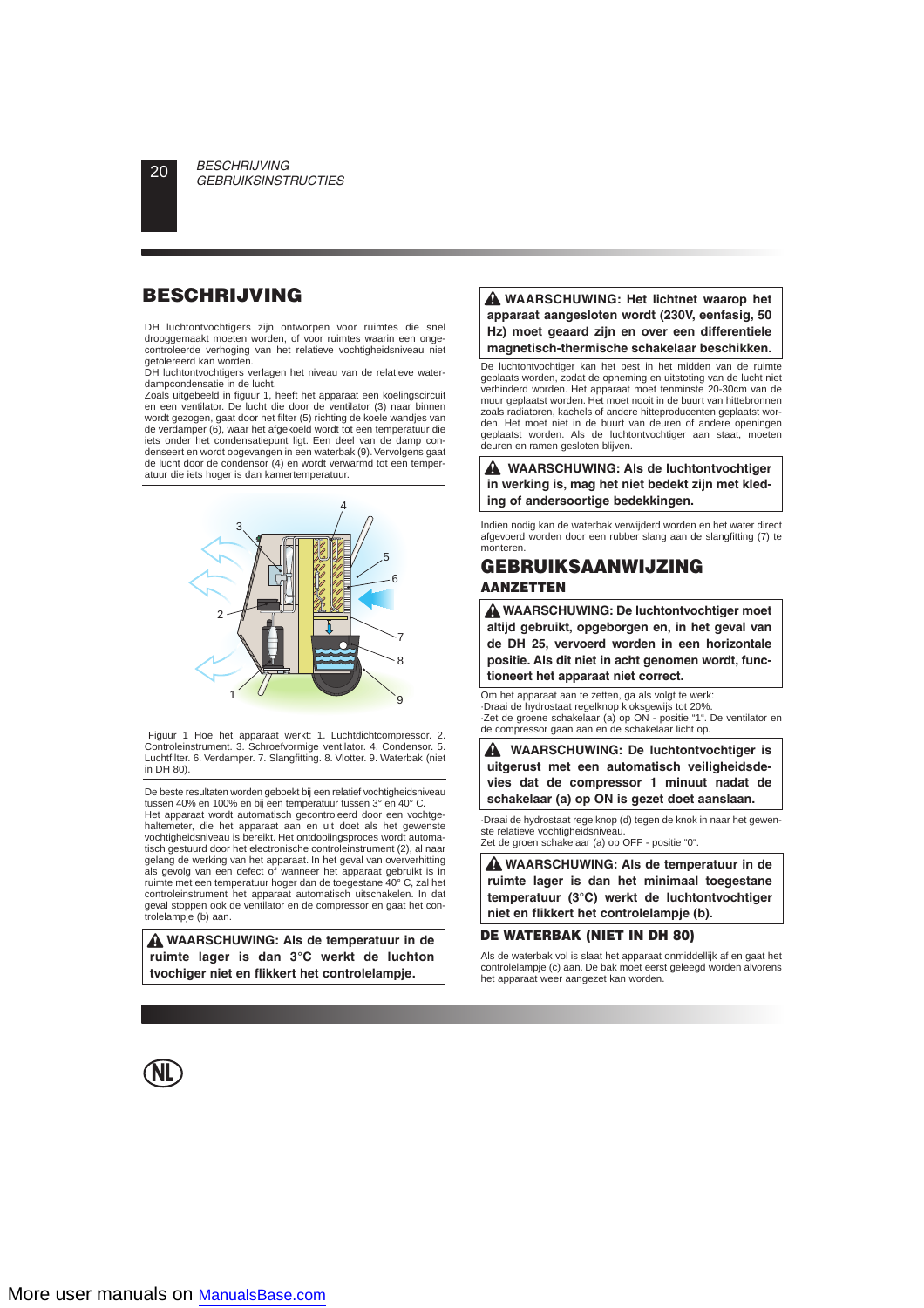DH luchtontvochtigers zijn ontworpen voor ruimtes die snel drooggemaakt moeten worden, of voor ruimtes waarin een ongecontroleerde verhoging van het relatieve vochtigheidsniveau niet getolereerd kan worden.

DH luchtontvochtigers verlagen het niveau van de relatieve waterdampcondensatie in de lucht.

Zoals uitgebeeld in figuur 1, heeft het apparaat een koelingscircuit en een ventilator. De lucht die door de ventilator (3) naar binnen wordt gezogen, gaat door het filter (5) richting de koele wandjes van de verdamper (6), waar het afgekoeld wordt tot een temperatuur die iets onder het condensatiepunt ligt. Een deel van de damp condenseert en wordt opgevangen in een waterbak (9). Vervolgens gaat de lucht door de condensor (4) en wordt verwarmd tot een temperatuur die iets hoger is dan kamertemperatuur.



Figuur 1 Hoe het apparaat werkt: 1. Luchtdichtcompressor. 2. Controleinstrument. 3. Schroefvormige ventilator. 4. Condensor. 5. Luchtfilter. 6. Verdamper. 7. Slangfitting. 8. Vlotter. 9. Waterbak (niet in DH 80).

De beste resultaten worden geboekt bij een relatief vochtigheidsniveau tussen 40% en 100% en bij een temperatuur tussen 3° en 40° C.

Het apparaat wordt automatisch gecontroleerd door een vochtgehaltemeter, die het apparaat aan en uit doet als het gewenste vochtigheidsniveau is bereikt. Het ontdooiingsproces wordt automatisch gestuurd door het electronische controleinstrument (2), al naar gelang de werking van het apparaat. In het geval van oververhitting als gevolg van een defect of wanneer het apparaat gebruikt is in ruimte met een temperatuur hoger dan de toegestane 40° C, zal het controleinstrument het apparaat automatisch uitschakelen. In dat geval stoppen ook de ventilator en de compressor en gaat het controlelampje (b) aan.

**WAARSCHUWING: Als de temperatuur in de ruimte lager is dan 3°C werkt de luchton tvochiger niet en flikkert het controlelampje.**

## **BESCHRIJVING WAARSCHUWING: Het lichtnet waarop het apparaat aangesloten wordt (230V, eenfasig, 50 Hz) moet geaard zijn en over een differentiele magnetisch-thermische schakelaar beschikken.**

De luchtontvochtiger kan het best in het midden van de ruimte geplaats worden, zodat de opneming en uitstoting van de lucht niet verhinderd worden. Het apparaat moet tenminste 20-30cm van de muur geplaatst worden. Het moet nooit in de buurt van hittebronnen zoals radiatoren, kachels of andere hitteproducenten geplaatst worden. Het moet niet in de buurt van deuren of andere openingen geplaatst worden. Als de luchtontvochtiger aan staat, moeten deuren en ramen gesloten blijven.

#### **WAARSCHUWING: Als de luchtontvochtiger in werking is, mag het niet bedekt zijn met kleding of andersoortige bedekkingen.**

Indien nodig kan de waterbak verwijderd worden en het water direct afgevoerd worden door een rubber slang aan de slangfitting (7) te monteren.

# **GEBRUIKSAANWIJZING AANZETTEN**

**WAARSCHUWING: De luchtontvochtiger moet altijd gebruikt, opgeborgen en, in het geval van de DH 25, vervoerd worden in een horizontale positie. Als dit niet in acht genomen wordt, functioneert het apparaat niet correct.**

Om het apparaat aan te zetten, ga als volgt te werk: ·Draai de hydrostaat regelknop kloksgewijs tot 20%. ·Zet de groene schakelaar (a) op ON - positie "1". De ventilator en de compressor gaan aan en de schakelaar licht op.

**WAARSCHUWING: De luchtontvochtiger is uitgerust met een automatisch veiligheidsdevies dat de compressor 1 minuut nadat de schakelaar (a) op ON is gezet doet aanslaan.**

·Draai de hydrostaat regelknop (d) tegen de knok in naar het gewenste relatieve vochtigheidsniveau. Zet de groen schakelaar (a) op OFF - positie "0".

**WAARSCHUWING: Als de temperatuur in de ruimte lager is dan het minimaal toegestane temperatuur (3°C) werkt de luchtontvochtiger niet en flikkert het controlelampje (b).**

#### **DE WATERBAK (NIET IN DH 80)**

Als de waterbak vol is slaat het apparaat onmiddellijk af en gaat het controlelampje (c) aan. De bak moet eerst geleegd worden alvorens het apparaat weer aangezet kan worden.

**NL**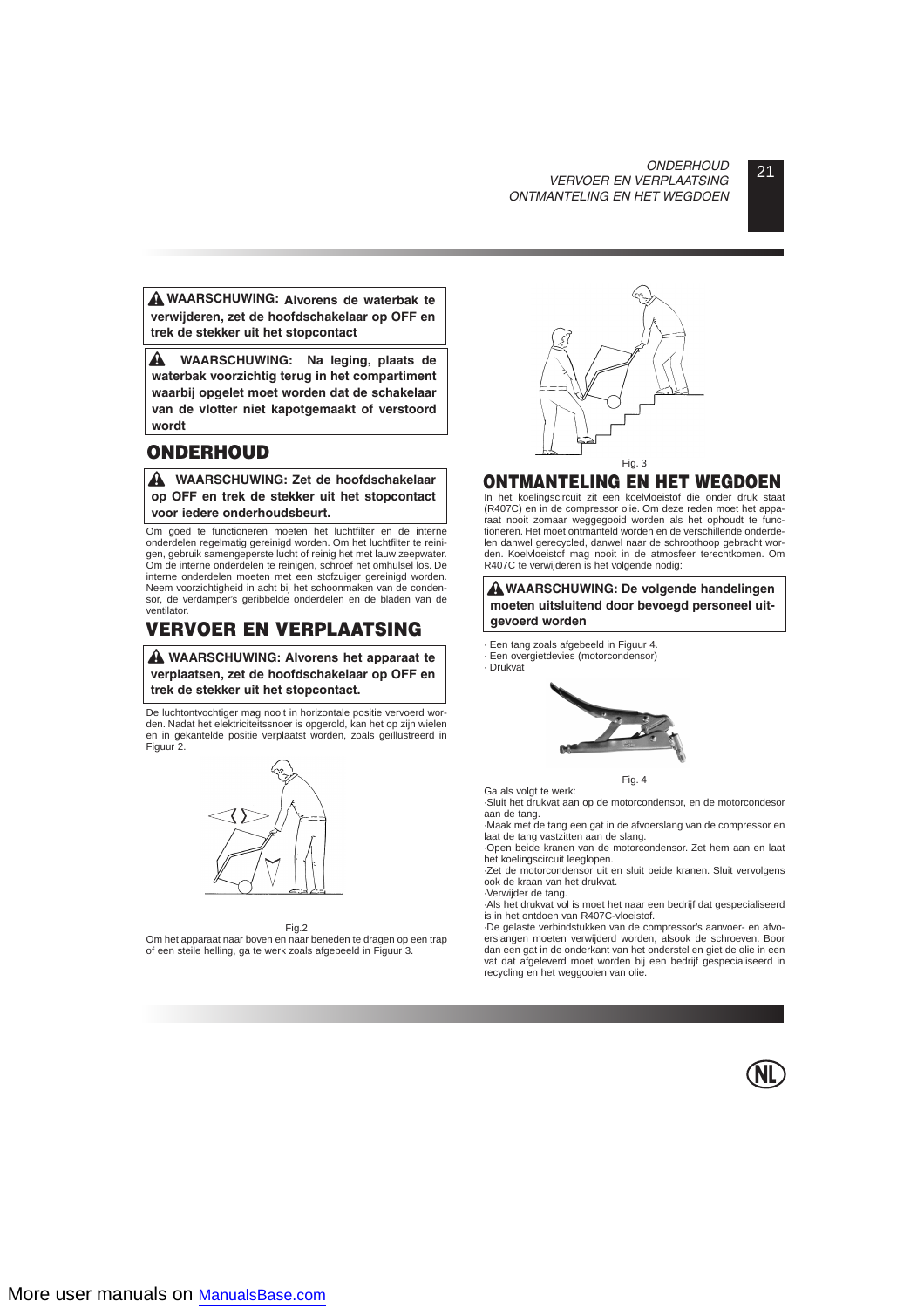# 21 *ONDERHOUD VERVOER EN VERPLAATSING ONTMANTELING EN HET WEGDOEN*

**WAARSCHUWING: Alvorens de waterbak te verwijderen, zet de hoofdschakelaar op OFF en trek de stekker uit het stopcontact**

A **WAARSCHUWING: Na leging, plaats de waterbak voorzichtig terug in het compartiment waarbij opgelet moet worden dat de schakelaar van de vlotter niet kapotgemaakt of verstoord wordt**

# **ONDERHOUD**

**WAARSCHUWING: Zet de hoofdschakelaar op OFF en trek de stekker uit het stopcontact voor iedere onderhoudsbeurt.**

Om goed te functioneren moeten het luchtfilter en de interne onderdelen regelmatig gereinigd worden. Om het luchtfilter te reinigen, gebruik samengeperste lucht of reinig het met lauw zeepwater. Om de interne onderdelen te reinigen, schroef het omhulsel los. De interne onderdelen moeten met een stofzuiger gereinigd worden. Neem voorzichtigheid in acht bij het schoonmaken van de condensor, de verdamper's geribbelde onderdelen en de bladen van de ventilator.

# **VERVOER EN VERPLAATSING**

**WAARSCHUWING: Alvorens het apparaat te verplaatsen, zet de hoofdschakelaar op OFF en trek de stekker uit het stopcontact.**

De luchtontvochtiger mag nooit in horizontale positie vervoerd worden. Nadat het elektriciteitssnoer is opgerold, kan het op zijn wielen en in gekantelde positie verplaatst worden, zoals geïllustreerd in Figuur 2.



#### Fig.2

Om het apparaat naar boven en naar beneden te dragen op een trap of een steile helling, ga te werk zoals afgebeeld in Figuur 3.



# **ONTMANTELING EN HET WEGDOEN**

In het koelingscircuit zit een koelvloeistof die onder druk staat (R407C) en in de compressor olie. Om deze reden moet het apparaat nooit zomaar weggegooid worden als het ophoudt te functioneren. Het moet ontmanteld worden en de verschillende onderdelen danwel gerecycled, danwel naar de schroothoop gebracht worden. Koelvloeistof mag nooit in de atmosfeer terechtkomen. Om R407C te verwijderen is het volgende nodig:

**WAARSCHUWING: De volgende handelingen moeten uitsluitend door bevoegd personeel uitgevoerd worden**

- · Een tang zoals afgebeeld in Figuur 4.
- · Een overgietdevies (motorcondensor)
- · Drukvat



Fig. 4

Ga als volgt te werk: ·Sluit het drukvat aan op de motorcondensor, en de motorcondesor aan de tang.

·Maak met de tang een gat in de afvoerslang van de compressor en laat de tang vastzitten aan de slang.

·Open beide kranen van de motorcondensor. Zet hem aan en laat het koelingscircuit leeglopen.

·Zet de motorcondensor uit en sluit beide kranen. Sluit vervolgens ook de kraan van het drukvat.

·Verwijder de tang. ·Als het drukvat vol is moet het naar een bedrijf dat gespecialiseerd is in het ontdoen van R407C-vloeistof.

·De gelaste verbindstukken van de compressor's aanvoer- en afvoerslangen moeten verwijderd worden, alsook de schroeven. Boor dan een gat in de onderkant van het onderstel en giet de olie in een vat dat afgeleverd moet worden bij een bedrijf gespecialiseerd in recycling en het weggooien van olie.

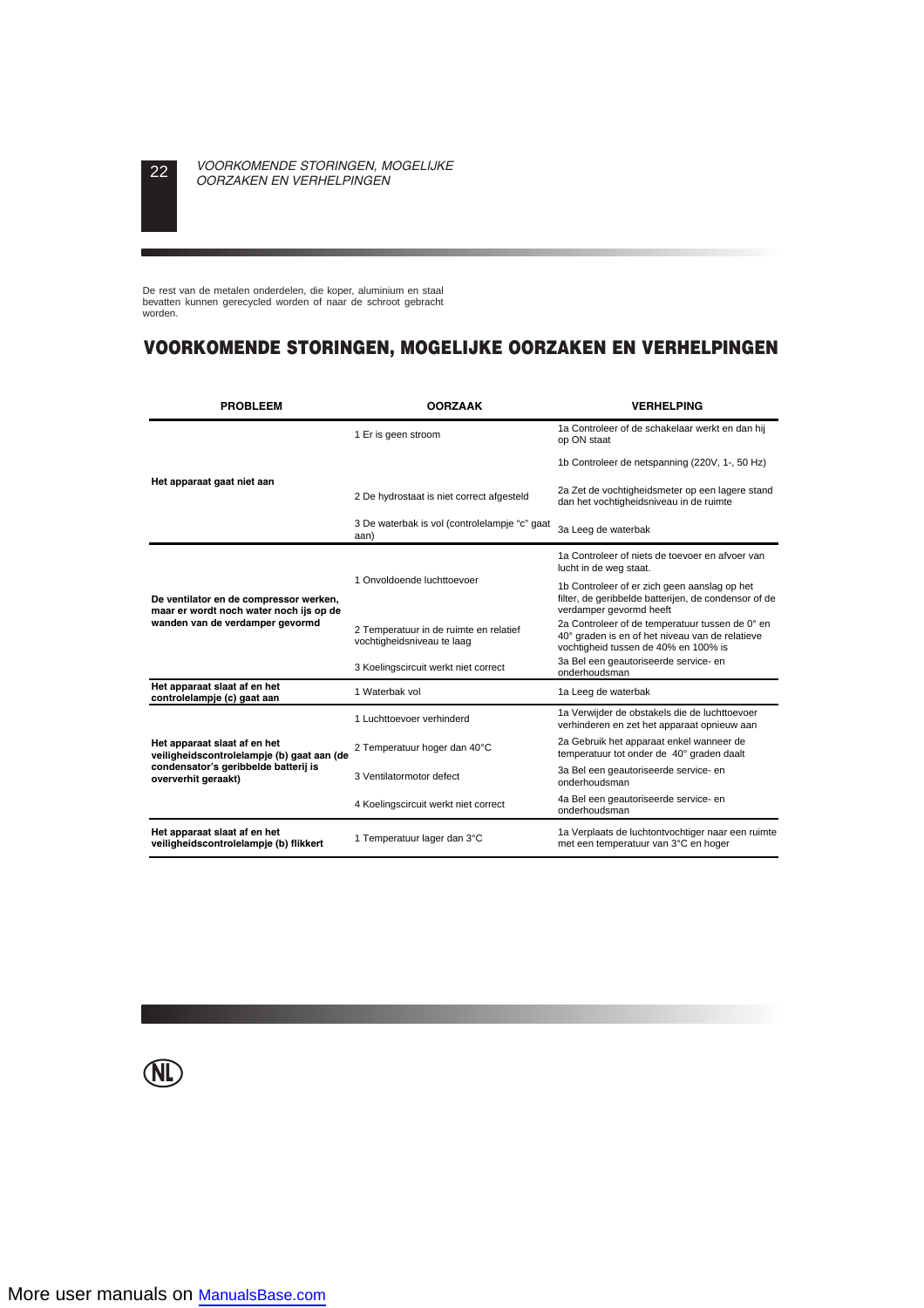De rest van de metalen onderdelen, die koper, aluminium en staal bevatten kunnen gerecycled worden of naar de schroot gebracht worden.

# **VOORKOMENDE STORINGEN, MOGELIJKE OORZAKEN EN VERHELPINGEN**

| <b>PROBLEEM</b>                                                                                                                           | <b>OORZAAK</b>                                                       | <b>VERHELPING</b>                                                                                                                          |  |  |
|-------------------------------------------------------------------------------------------------------------------------------------------|----------------------------------------------------------------------|--------------------------------------------------------------------------------------------------------------------------------------------|--|--|
|                                                                                                                                           | 1 Er is geen stroom                                                  | 1a Controleer of de schakelaar werkt en dan hij<br>op ON staat                                                                             |  |  |
|                                                                                                                                           |                                                                      | 1b Controleer de netspanning (220V, 1-, 50 Hz)                                                                                             |  |  |
| Het apparaat gaat niet aan                                                                                                                | 2 De hydrostaat is niet correct afgesteld                            | 2a Zet de vochtigheidsmeter op een lagere stand<br>dan het vochtigheidsniveau in de ruimte                                                 |  |  |
|                                                                                                                                           | 3 De waterbak is vol (controlelampje "c" gaat<br>aan)                | 3a Leeg de waterbak                                                                                                                        |  |  |
|                                                                                                                                           |                                                                      | 1a Controleer of niets de toevoer en afvoer van<br>lucht in de weg staat.                                                                  |  |  |
| De ventilator en de compressor werken,<br>maar er wordt noch water noch ijs op de                                                         | 1 Onvoldoende luchttoevoer                                           | 1b Controleer of er zich geen aanslag op het<br>filter, de geribbelde batterijen, de condensor of de<br>verdamper gevormd heeft            |  |  |
| wanden van de verdamper gevormd                                                                                                           | 2 Temperatuur in de ruimte en relatief<br>vochtigheidsniveau te laag | 2a Controleer of de temperatuur tussen de 0° en<br>40° graden is en of het niveau van de relatieve<br>vochtigheid tussen de 40% en 100% is |  |  |
|                                                                                                                                           | 3 Koelingscircuit werkt niet correct                                 | 3a Bel een geautoriseerde service- en<br>onderhoudsman                                                                                     |  |  |
| Het apparaat slaat af en het<br>controlelampje (c) gaat aan                                                                               | 1 Waterbak vol                                                       | 1a Leeg de waterbak                                                                                                                        |  |  |
|                                                                                                                                           | 1 Luchttoevoer verhinderd                                            | 1a Verwijder de obstakels die de luchttoevoer<br>verhinderen en zet het apparaat opnieuw aan                                               |  |  |
| Het apparaat slaat af en het<br>veiligheidscontrolelampje (b) gaat aan (de<br>condensator's geribbelde batterij is<br>oververhit geraakt) | 2 Temperatuur hoger dan 40°C                                         | 2a Gebruik het apparaat enkel wanneer de<br>temperatuur tot onder de 40° graden daalt                                                      |  |  |
|                                                                                                                                           | 3 Ventilatormotor defect                                             | 3a Bel een geautoriseerde service- en<br>onderhoudsman                                                                                     |  |  |
|                                                                                                                                           | 4 Koelingscircuit werkt niet correct                                 | 4a Bel een geautoriseerde service- en<br>onderhoudsman                                                                                     |  |  |
| Het apparaat slaat af en het<br>veiligheidscontrolelampje (b) flikkert                                                                    | 1 Temperatuur lager dan 3°C                                          | 1a Verplaats de luchtontvochtiger naar een ruimte<br>met een temperatuur van 3°C en hoger                                                  |  |  |

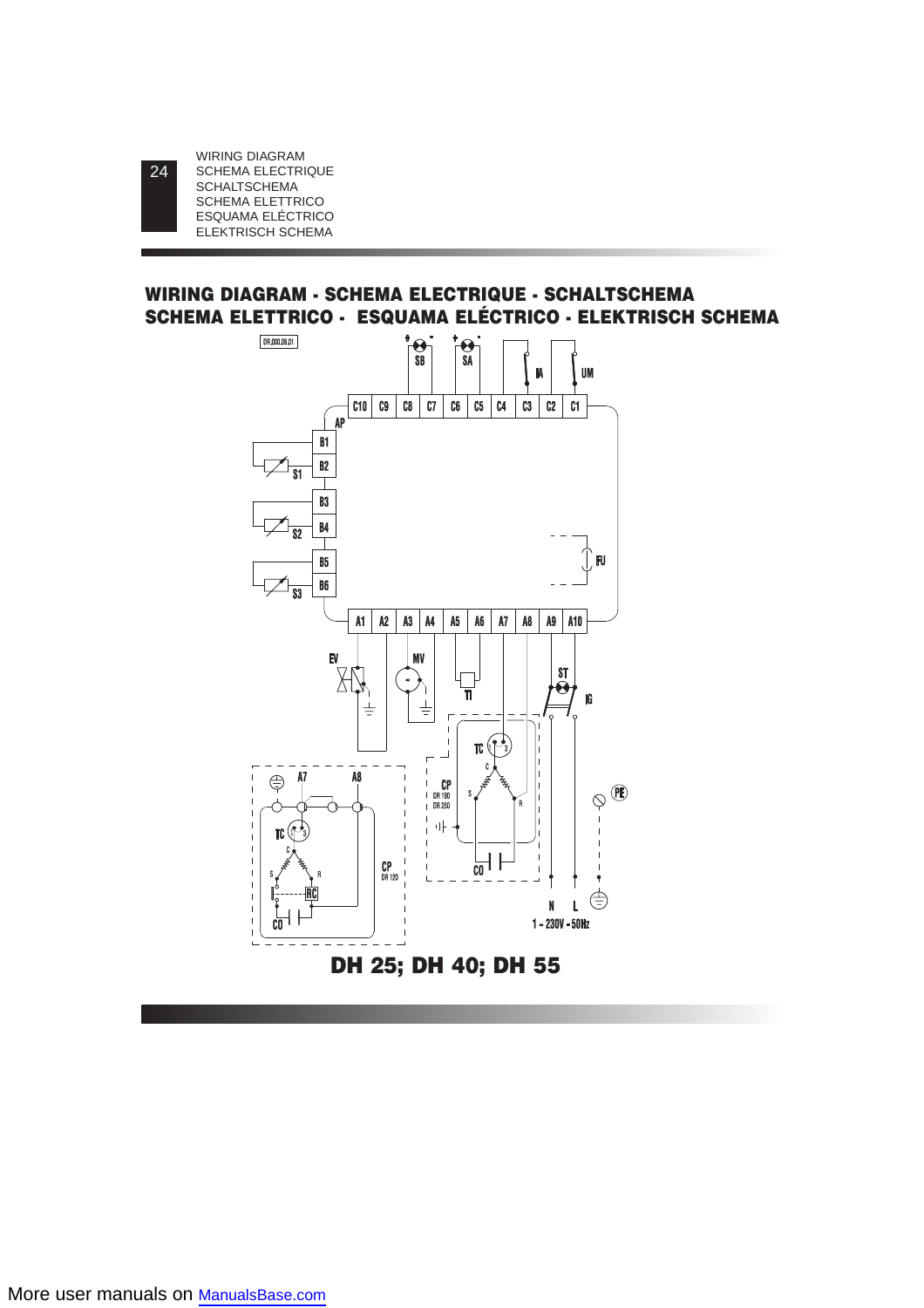24

# **WIRING DIAGRAM - SCHEMA ELECTRIQUE - SCHALTSCHEMA SCHEMA ELETTRICO - ESQUAMA ELÉCTRICO - ELEKTRISCH SCHEMA**

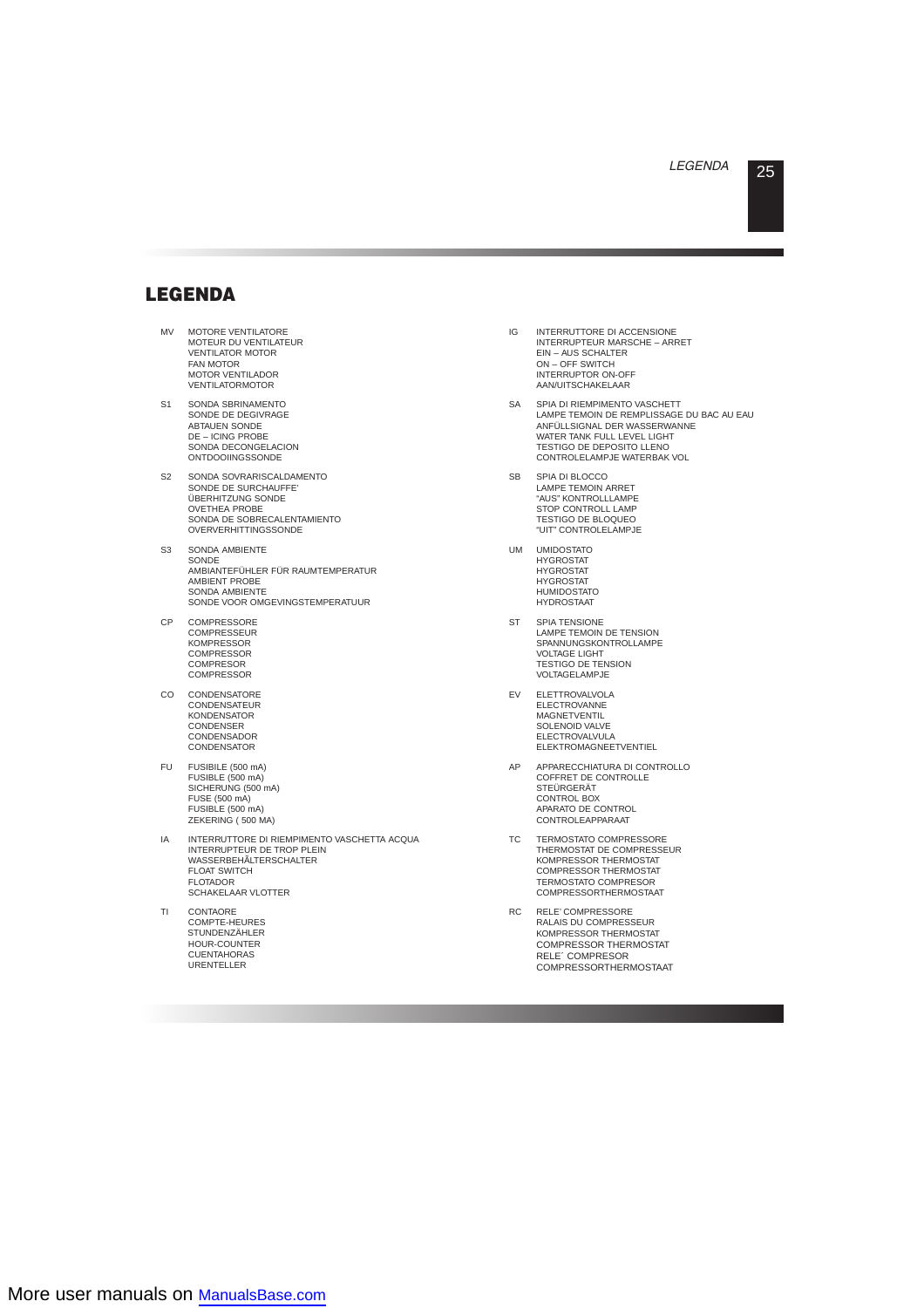# **LEGENDA**

- MV MOTORE VENTILATORE MOTEUR DU VENTILATEUR VENTILATOR MOTOR FAN MOTOR MOTOR VENTILADOR VENTILATORMOTOR
- S1 SONDA SBRINAMENTO SONDE DE DEGIVRAGE ABTAUEN SONDE DE – ICING PROBE SONDA DECONGELACION **ONTDOOIINGSSONDE**
- S2 SONDA SOVRARISCALDAMENTO SONDE DE SURCHAUFFE' ÜBERHITZUNG SONDE OVETHEA PROBE SONDA DE SOBRECALENTAMIENTO OVERVERHITTINGSSONDE
- S3 SONDA AMBIENTE SONDE AMBIANTEFÜHLER FÜR RAUMTEMPERATUR AMBIENT PROBE SONDA AMBIENTE SONDE VOOR OMGEVINGSTEMPERATUUR
- CP COMPRESSORE **COMPRESSEUR KOMPRESSOR COMPRESSOR COMPRESOR COMPRESSOR**
- CO CONDENSATORE **CONDENSATEUR** KONDENSATOR **CONDENSER CONDENSADOR** CONDENSATOR
- FU FUSIBILE (500 mA) FUSIBLE (500 mA) SICHERUNG (500 mA) FUSE (500 mA) FUSIBLE (500 mA) ZEKERING ( 500 MA)
- IA INTERRUTTORE DI RIEMPIMENTO VASCHETTA ACQUA INTERRUPTEUR DE TROP PLEIN WASSERBEHÃLTERSCHALTER FLOAT SWITCH FLOTADOR SCHAKELAAR VLOTTER
- TI CONTAORE COMPTE-HEURES STUNDENZÄHLER HOUR-COUNTER CUENTAHORAS URENTELLER
- IG INTERRUTTORE DI ACCENSIONE INTERRUPTEUR MARSCHE – ARRET EIN – AUS SCHALTER ON – OFF SWITCH INTERRUPTOR ON-OFF AAN/UITSCHAKELAAR
- SA SPIA DI RIEMPIMENTO VASCHETT LAMPE TEMOIN DE REMPLISSAGE DU BAC AU EAU ANFÜLLSIGNAL DER WASSERWANNE WATER TANK FULL LEVEL LIGHT TESTIGO DE DEPOSITO LLENO CONTROLELAMPJE WATERBAK VOL
- SB SPIA DI BLOCCO LAMPE TEMOIN ARRET "AUS" KONTROLLLAMPE STOP CONTROLL LAMP TESTIGO DE BLOQUEO "UIT" CONTROLELAMPJE
- UM UMIDOSTATO **HYGROSTAT** HYGROSTAT **HYGROSTAT HUMIDOSTATO HYDROSTAAT**
- ST SPIA TENSIONE LAMPE TEMOIN DE TENSION SPANNUNGSKONTROLLAMPE VOLTAGE LIGHT TESTIGO DE TENSION VOLTAGELAMPJE
- EV ELETTROVALVOLA ELECTROVANNE MAGNETVENTIL SOLENOID VALVE ELECTROVALVULA ELEKTROMAGNEETVENTIEL
- AP APPARECCHIATURA DI CONTROLLO COFFRET DE CONTROLLE **STEÜRGERÄT** CONTROL BOX APARATO DE CONTROL CONTROLEAPPARAAT
- TC TERMOSTATO COMPRESSORE THERMOSTAT DE COMPRESSEUR KOMPRESSOR THERMOSTAT COMPRESSOR THERMOSTAT TERMOSTATO COMPRESOR COMPRESSORTHERMOSTAAT
- RC RELE' COMPRESSORE RALAIS DU COMPRESSEUR KOMPRESSOR THERMOSTAT COMPRESSOR THERMOSTAT RELE´ COMPRESOR COMPRESSORTHERMOSTAAT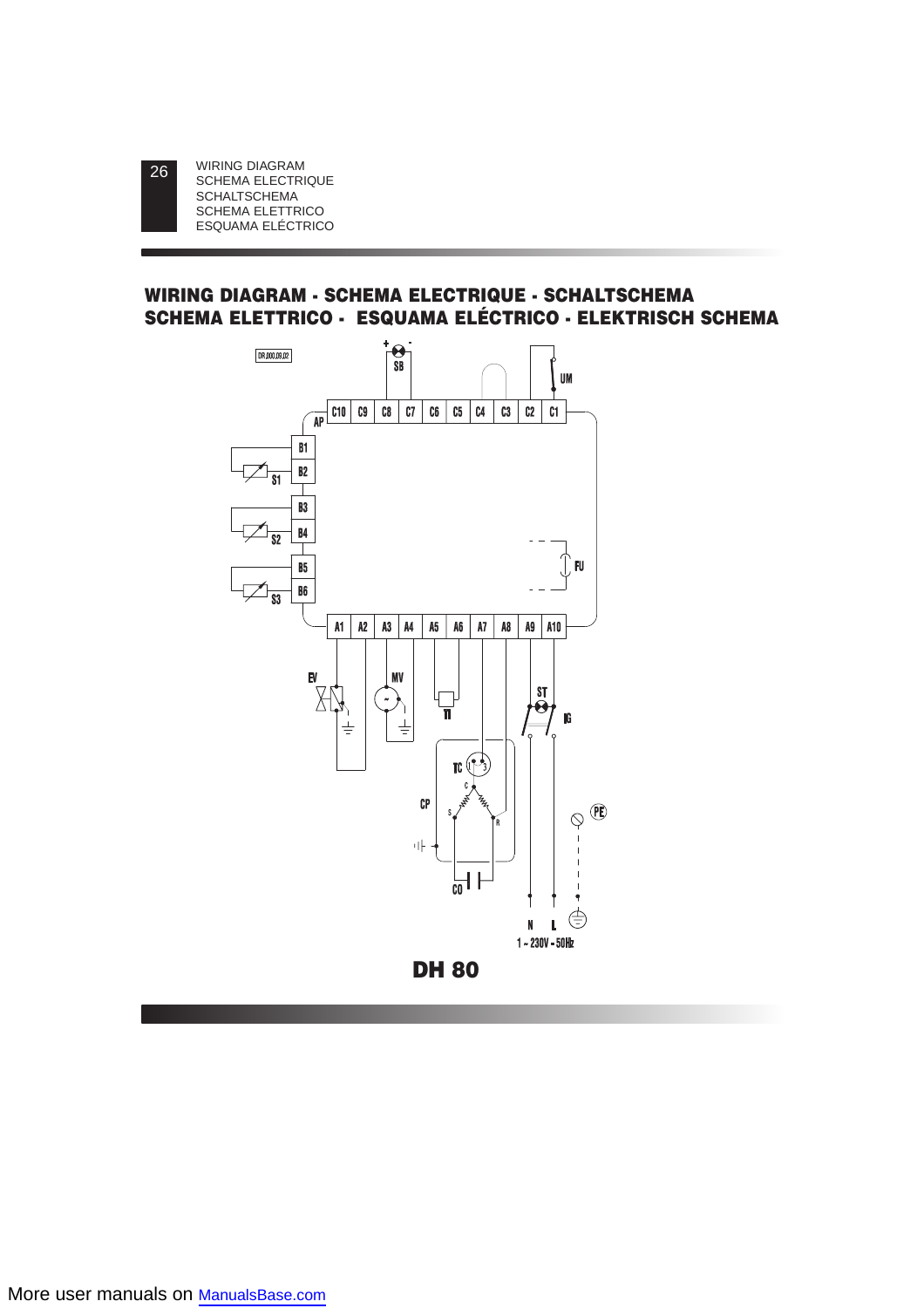26

# **WIRING DIAGRAM - SCHEMA ELECTRIQUE - SCHALTSCHEMA SCHEMA ELETTRICO - ESQUAMA ELÉCTRICO - ELEKTRISCH SCHEMA**

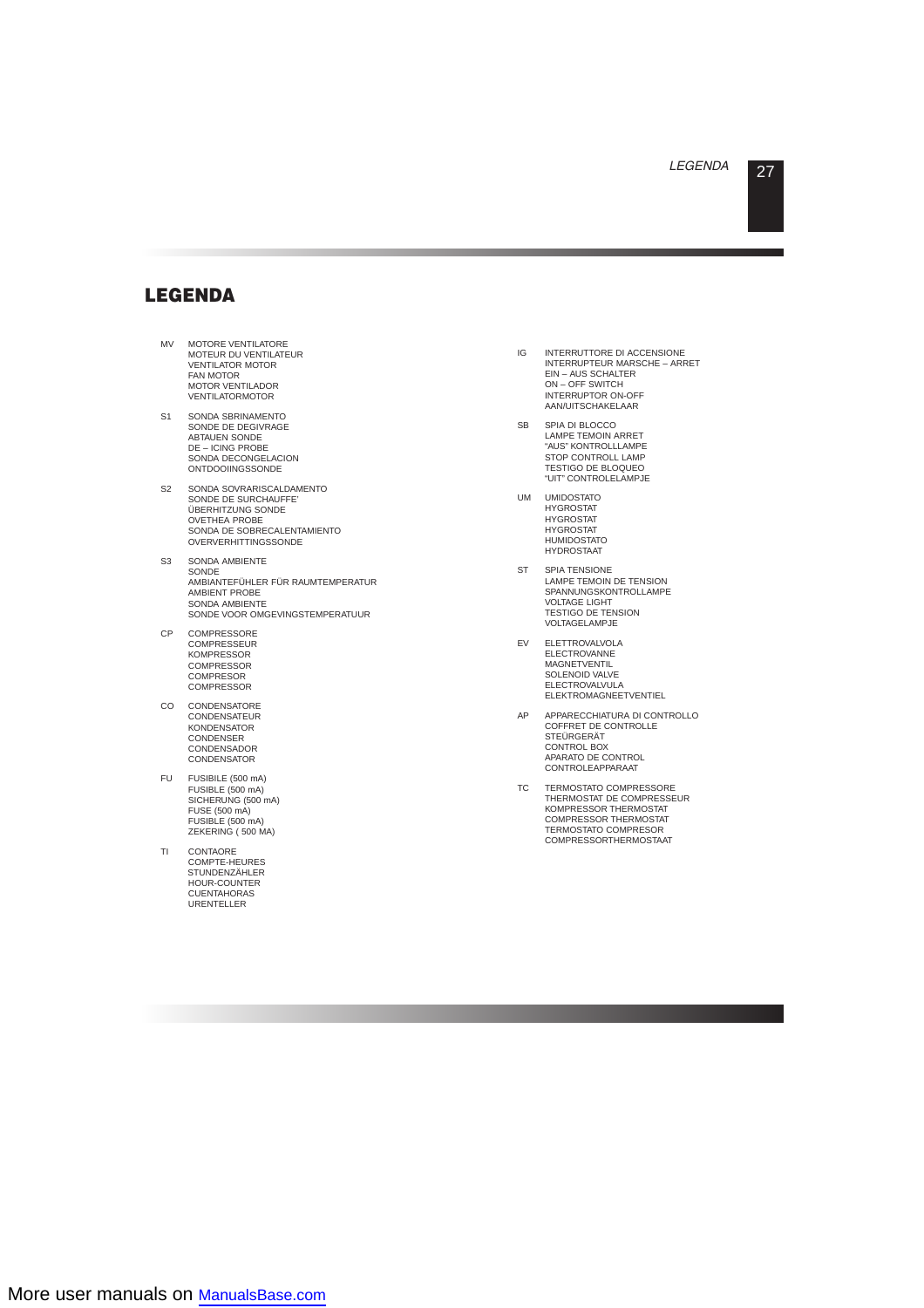# **LEGENDA**

- MV MOTORE VENTILATORE MOTEUR DU VENTILATEUR VENTILATOR MOTOR FAN MOTOR MOTOR VENTILADOR VENTILATORMOTOR
- S1 SONDA SBRINAMENTO SONDE DE DEGIVRAGE ABTAUEN SONDE DE – ICING PROBE SONDA DECONGELACION **ONTDOOIINGSSONDE**
- S2 SONDA SOVRARISCALDAMENTO SONDE DE SURCHAUFFE' ÜBERHITZUNG SONDE OVETHEA PROBE SONDA DE SOBRECALENTAMIENTO OVERVERHITTINGSSONDE
- S3 SONDA AMBIENTE **SONDE** AMBIANTEFÜHLER FÜR RAUMTEMPERATUR AMBIENT PROBE SONDA AMBIENTE SONDE VOOR OMGEVINGSTEMPERATUUR
- CP COMPRESSORE COMPRESSEUR KOMPRESSOR COMPRESSOR COMPRESOR **COMPRESSOR**
- CO CONDENSATORE CONDENSATEUR **KONDENSATOR** CONDENSER **CONDENSADOR CONDENSATOR**
- FU FUSIBILE (500 mA) FUSIBLE (500 mA) SICHERUNG (500 mA) FUSE (500 mA) FUSIBLE (500 mA) ZEKERING ( 500 MA)
- TI CONTAORE COMPTE-HEURES STUNDENZÄHLER HOUR-COUNTER CUENTAHORAS URENTELLER
- IG INTERRUTTORE DI ACCENSIONE INTERRUPTEUR MARSCHE – ARRET EIN – AUS SCHALTER ON – OFF SWITCH INTERRUPTOR ON-OFF AAN/UITSCHAKELAAR
- SB SPIA DI BLOCCO LAMPE TEMOIN ARRET "AUS" KONTROLLLAMPE STOP CONTROLL LAMP TESTIGO DE BLOQUEO "UIT" CONTROLELAMPJE
- UM UMIDOSTATO **HYGROSTAT HYGROSTAT HYGROSTAT HUMIDOSTATO** HYDROSTAAT
- ST SPIA TENSIONE LAMPE TEMOIN DE TENSION SPANNUNGSKONTROLLAMPE VOLTAGE LIGHT TESTIGO DE TENSION VOLTAGELAMPJE
- EV ELETTROVALVOLA **ELECTROVANNE MAGNETVENTIL** SOLENOID VALVE ELECTROVALVULA ELEKTROMAGNEETVENTIEL
- AP APPARECCHIATURA DI CONTROLLO COFFRET DE CONTROLLE **STEÜRGERÄT** CONTROL BOX APARATO DE CONTROL CONTROLEAPPARAAT
- TC TERMOSTATO COMPRESSORE THERMOSTAT DE COMPRESSEUR KOMPRESSOR THERMOSTAT COMPRESSOR THERMOSTAT TERMOSTATO COMPRESOR COMPRESSORTHERMOSTAAT